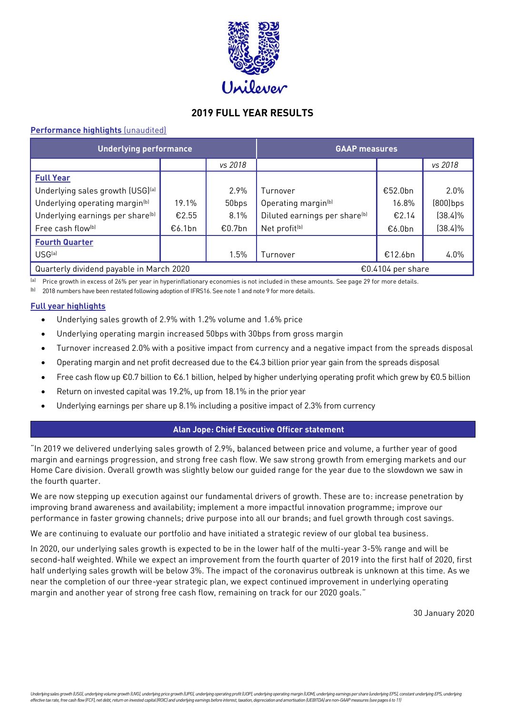

# **2019 FULL YEAR RESULTS**

# **Performance highlights** (unaudited)

| <b>Underlying performance</b>                |        |         | <b>GAAP measures</b>                      |         |             |  |  |
|----------------------------------------------|--------|---------|-------------------------------------------|---------|-------------|--|--|
|                                              |        | vs 2018 |                                           |         | vs 2018     |  |  |
| <b>Full Year</b>                             |        |         |                                           |         |             |  |  |
| Underlying sales growth (USG)[a]             |        | 2.9%    | Turnover                                  | €52.0bn | 2.0%        |  |  |
| Underlying operating margin <sup>(b)</sup>   | 19.1%  | 50bps   | Operating margin <sup>(b)</sup>           | 16.8%   | $(800)$ bps |  |  |
| Underlying earnings per share <sup>(b)</sup> | €2.55  | 8.1%    | Diluted earnings per share <sup>(b)</sup> | €2.14   | $(38.4)\%$  |  |  |
| Free cash flow <sup>(b)</sup>                | €6.1bn | €0.7bn  | Net profit <sup>(b)</sup>                 | €6.0bn  | $(38.4)\%$  |  |  |
| <b>Fourth Quarter</b>                        |        |         |                                           |         |             |  |  |
| USG <sup>(a)</sup>                           |        | 1.5%    | Turnover                                  | €12.6bn | 4.0%        |  |  |
| Quarterly dividend payable in March 2020     |        |         | €0.4104 per share                         |         |             |  |  |

<sup>(a)</sup> Price growth in excess of 26% per year in hyperinflationary economies is not included in these amounts. See page 29 for more details.

(b) 2018 numbers have been restated following adoption of IFRS16. See note 1 and note 9 for more details.

# **Full year highlights**

- Underlying sales growth of 2.9% with 1.2% volume and 1.6% price
- Underlying operating margin increased 50bps with 30bps from gross margin
- Turnover increased 2.0% with a positive impact from currency and a negative impact from the spreads disposal
- Operating margin and net profit decreased due to the  $E4.3$  billion prior year gain from the spreads disposal
- Free cash flow up €0.7 billion to €6.1 billion, helped by higher underlying operating profit which grew by €0.5 billion
- Return on invested capital was 19.2%, up from 18.1% in the prior year
- Underlying earnings per share up 8.1% including a positive impact of 2.3% from currency

# **Alan Jope: Chief Executive Officer statement**

"In 2019 we delivered underlying sales growth of 2.9%, balanced between price and volume, a further year of good margin and earnings progression, and strong free cash flow. We saw strong growth from emerging markets and our Home Care division. Overall growth was slightly below our guided range for the year due to the slowdown we saw in the fourth quarter.

We are now stepping up execution against our fundamental drivers of growth. These are to: increase penetration by improving brand awareness and availability; implement a more impactful innovation programme; improve our performance in faster growing channels; drive purpose into all our brands; and fuel growth through cost savings.

We are continuing to evaluate our portfolio and have initiated a strategic review of our global tea business.

In 2020, our underlying sales growth is expected to be in the lower half of the multi-year 3-5% range and will be second-half weighted. While we expect an improvement from the fourth quarter of 2019 into the first half of 2020, first half underlying sales growth will be below 3%. The impact of the coronavirus outbreak is unknown at this time. As we near the completion of our three-year strategic plan, we expect continued improvement in underlying operating margin and another year of strong free cash flow, remaining on track for our 2020 goals."

30 January 2020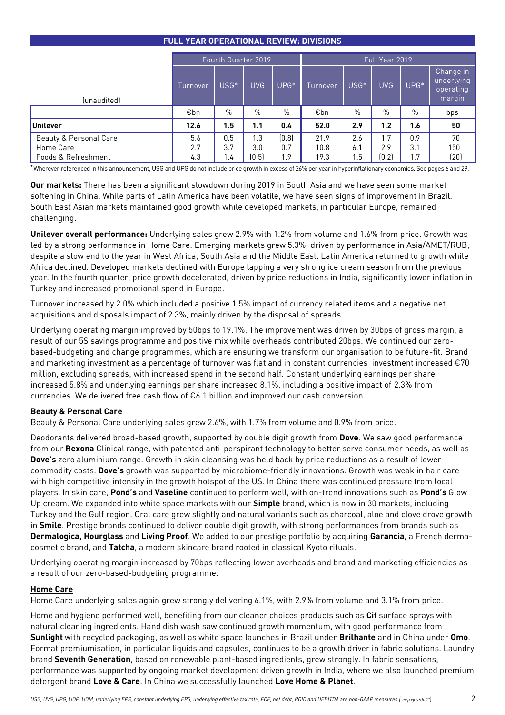# **FULL YEAR OPERATIONAL REVIEW: DIVISIONS**

|                        | Fourth Quarter 2019 |        |            |            |          |                  | Full Year 2019 |        |                                                |
|------------------------|---------------------|--------|------------|------------|----------|------------------|----------------|--------|------------------------------------------------|
| (unaudited)            | Turnover            | $USG*$ | <b>UVG</b> | $UPG*$     | Turnover | USG <sup>*</sup> | <b>UVG</b>     | $UPG*$ | Change in<br>underlying<br>operating<br>margin |
|                        | €bn                 | $\%$   | $\%$       | $\%$       | €bn      | $\%$             | $\%$           | $\%$   | bps                                            |
| Unilever               | 12.6                | 1.5    | 1.1        | 0.4        | 52.0     | 2.9              | 1.2            | 1.6    | 50                                             |
| Beauty & Personal Care | 5.6                 | 0.5    | 1.3        | (0.8)      | 21.9     | 2.6              | 1.7            | 0.9    | 70                                             |
| Home Care              | 2.7                 | 3.7    | 3.0        | 0.7        | 10.8     | 6.1              | 2.9            | 3.1    | 150                                            |
| Foods & Refreshment    | 4.3                 | 1.4    | (0.5)      | <u>i.9</u> | 19.3     | 1.5              | [0.2]          | 1.7    | (20)                                           |

**\***Wherever referenced in this announcement, USG and UPG do not include price growth in excess of 26% per year in hyperinflationary economies. See pages 6 and 29.

**Our markets:** There has been a significant slowdown during 2019 in South Asia and we have seen some market softening in China. While parts of Latin America have been volatile, we have seen signs of improvement in Brazil. South East Asian markets maintained good growth while developed markets, in particular Europe, remained challenging.

**Unilever overall performance:** Underlying sales grew 2.9% with 1.2% from volume and 1.6% from price. Growth was led by a strong performance in Home Care. Emerging markets grew 5.3%, driven by performance in Asia/AMET/RUB, despite a slow end to the year in West Africa, South Asia and the Middle East. Latin America returned to growth while Africa declined. Developed markets declined with Europe lapping a very strong ice cream season from the previous year. In the fourth quarter, price growth decelerated, driven by price reductions in India, significantly lower inflation in Turkey and increased promotional spend in Europe.

Turnover increased by 2.0% which included a positive 1.5% impact of currency related items and a negative net acquisitions and disposals impact of 2.3%, mainly driven by the disposal of spreads.

Underlying operating margin improved by 50bps to 19.1%. The improvement was driven by 30bps of gross margin, a result of our 5S savings programme and positive mix while overheads contributed 20bps. We continued our zerobased-budgeting and change programmes, which are ensuring we transform our organisation to be future-fit. Brand and marketing investment as a percentage of turnover was flat and in constant currencies investment increased €70 million, excluding spreads, with increased spend in the second half. Constant underlying earnings per share increased 5.8% and underlying earnings per share increased 8.1%, including a positive impact of 2.3% from currencies. We delivered free cash flow of €6.1 billion and improved our cash conversion.

# **Beauty & Personal Care**

Beauty & Personal Care underlying sales grew 2.6%, with 1.7% from volume and 0.9% from price.

Deodorants delivered broad-based growth, supported by double digit growth from **Dove**. We saw good performance from our **Rexona** Clinical range, with patented anti-perspirant technology to better serve consumer needs, as well as **Dove's** zero aluminium range. Growth in skin cleansing was held back by price reductions as a result of lower commodity costs. **Dove's** growth was supported by microbiome-friendly innovations. Growth was weak in hair care with high competitive intensity in the growth hotspot of the US. In China there was continued pressure from local players. In skin care, **Pond's** and **Vaseline** continued to perform well, with on-trend innovations such as **Pond's** Glow Up cream. We expanded into white space markets with our **Simple** brand, which is now in 30 markets, including Turkey and the Gulf region. Oral care grew slightly and natural variants such as charcoal, aloe and clove drove growth in **Smile**. Prestige brands continued to deliver double digit growth, with strong performances from brands such as **Dermalogica, Hourglass** and **Living Proof**. We added to our prestige portfolio by acquiring **Garancia**, a French dermacosmetic brand, and **Tatcha**, a modern skincare brand rooted in classical Kyoto rituals.

Underlying operating margin increased by 70bps reflecting lower overheads and brand and marketing efficiencies as a result of our zero-based-budgeting programme.

# **Home Care**

Home Care underlying sales again grew strongly delivering 6.1%, with 2.9% from volume and 3.1% from price.

Home and hygiene performed well, benefiting from our cleaner choices products such as **Cif** surface sprays with natural cleaning ingredients. Hand dish wash saw continued growth momentum, with good performance from **Sunlight** with recycled packaging, as well as white space launches in Brazil under **Brilhante** and in China under **Omo**. Format premiumisation, in particular liquids and capsules, continues to be a growth driver in fabric solutions. Laundry brand **Seventh Generation**, based on renewable plant-based ingredients, grew strongly. In fabric sensations, performance was supported by ongoing market development driven growth in India, where we also launched premium detergent brand **Love & Care**. In China we successfully launched **Love Home & Planet**.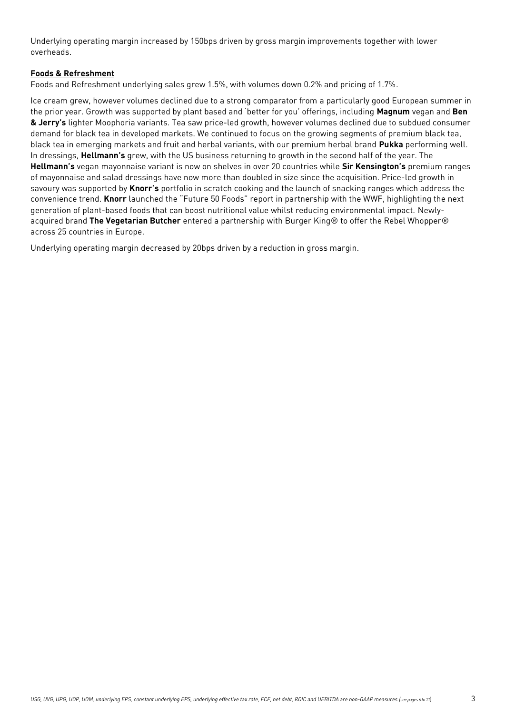Underlying operating margin increased by 150bps driven by gross margin improvements together with lower overheads.

# **Foods & Refreshment**

Foods and Refreshment underlying sales grew 1.5%, with volumes down 0.2% and pricing of 1.7%.

Ice cream grew, however volumes declined due to a strong comparator from a particularly good European summer in the prior year. Growth was supported by plant based and 'better for you' offerings, including **Magnum** vegan and **Ben & Jerry's** lighter Moophoria variants. Tea saw price-led growth, however volumes declined due to subdued consumer demand for black tea in developed markets. We continued to focus on the growing segments of premium black tea, black tea in emerging markets and fruit and herbal variants, with our premium herbal brand **Pukka** performing well. In dressings, **Hellmann's** grew, with the US business returning to growth in the second half of the year. The **Hellmann's** vegan mayonnaise variant is now on shelves in over 20 countries while **Sir Kensington's** premium ranges of mayonnaise and salad dressings have now more than doubled in size since the acquisition. Price-led growth in savoury was supported by **Knorr's** portfolio in scratch cooking and the launch of snacking ranges which address the convenience trend. **Knorr** launched the "Future 50 Foods" report in partnership with the WWF, highlighting the next generation of plant-based foods that can boost nutritional value whilst reducing environmental impact. Newlyacquired brand **The Vegetarian Butcher** entered a partnership with Burger King® to offer the Rebel Whopper® across 25 countries in Europe.

Underlying operating margin decreased by 20bps driven by a reduction in gross margin.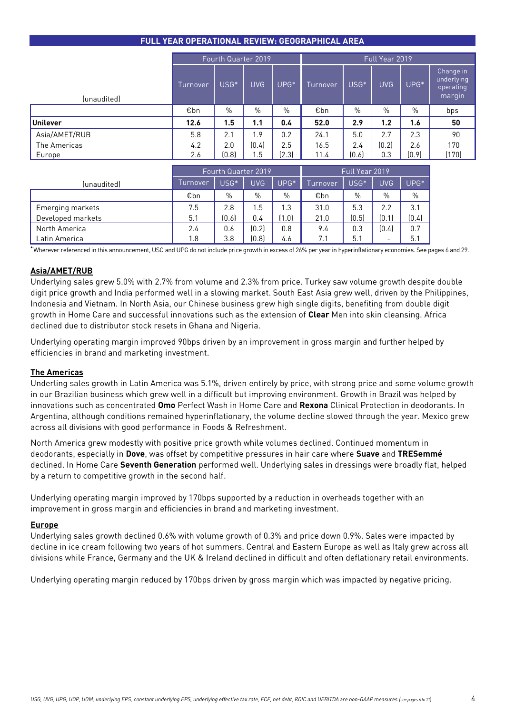|                 | Fourth Quarter 2019 |                  |            |                  |          |                  | Full Year 2019 |                  |                                                |
|-----------------|---------------------|------------------|------------|------------------|----------|------------------|----------------|------------------|------------------------------------------------|
| (unaudited)     | Turnover            | USG <sup>*</sup> | <b>UVG</b> | UPG <sup>*</sup> | Turnover | USG <sup>*</sup> | <b>UVG</b>     | UPG <sup>*</sup> | Change in<br>underlying<br>operating<br>margin |
|                 | €bn                 | $\%$             | $\%$       | $\%$             | €bn      | $\%$             | $\%$           | $\%$             | bps                                            |
| <b>Unilever</b> | 12.6                | 1.5              | 1.1        | 0.4              | 52.0     | 2.9              | 1.2            | 1.6              | 50                                             |
| Asia/AMET/RUB   | 5.8                 | 2.1              | i.9        | 0.2              | 24.1     | 5.0              | 2.7            | 2.3              | 90                                             |
| The Americas    | 4.2                 | 2.0              | [0.4]      | 2.5              | 16.5     | 2.4              | (0.2)          | 2.6              | 170                                            |
| Europe          | 2.6                 | (0.8)            | . . 5      | (2.3)            | 11.4     | (0.6)            | 0.3            | (0.9)            | (170)                                          |

|                   |          | Fourth Quarter 2019 |            |       |          | Full Year 2019   |                          |        |
|-------------------|----------|---------------------|------------|-------|----------|------------------|--------------------------|--------|
| (unaudited)       | Turnover | USG*                | <b>UVG</b> | UPG*  | Turnover | USG <sup>*</sup> | <b>UVG</b>               | $UPG*$ |
|                   | €bn      | $\%$                | $\%$       | $\%$  | €bn      | $\%$             | $\%$                     | $\%$   |
| Emerging markets  | 7.5      | 2.8                 | 1.5        | 1.3   | 31.0     | 5.3              | 2.2                      | 3.1    |
| Developed markets | 5.1      | [0.6]               | 0.4        | (1.0) | 21.0     | (0.5)            | [0.1]                    | (0.4)  |
| North America     | 2.4      | 0.6                 | [0.2]      | 0.8   | 9.4      | 0.3              | [0.4]                    | 0.7    |
| Latin America     | 1.8      | 3.8                 | (0.8)      | 4.6   | 7.1      | 5.1              | $\overline{\phantom{0}}$ | 5.1    |

**\***Wherever referenced in this announcement, USG and UPG do not include price growth in excess of 26% per year in hyperinflationary economies. See pages 6 and 29.

# **Asia/AMET/RUB**

Underlying sales grew 5.0% with 2.7% from volume and 2.3% from price. Turkey saw volume growth despite double digit price growth and India performed well in a slowing market. South East Asia grew well, driven by the Philippines, Indonesia and Vietnam. In North Asia, our Chinese business grew high single digits, benefiting from double digit growth in Home Care and successful innovations such as the extension of **Clear** Men into skin cleansing. Africa declined due to distributor stock resets in Ghana and Nigeria.

Underlying operating margin improved 90bps driven by an improvement in gross margin and further helped by efficiencies in brand and marketing investment.

## **The Americas**

Underling sales growth in Latin America was 5.1%, driven entirely by price, with strong price and some volume growth in our Brazilian business which grew well in a difficult but improving environment. Growth in Brazil was helped by innovations such as concentrated **Omo** Perfect Wash in Home Care and **Rexona** Clinical Protection in deodorants. In Argentina, although conditions remained hyperinflationary, the volume decline slowed through the year. Mexico grew across all divisions with good performance in Foods & Refreshment.

North America grew modestly with positive price growth while volumes declined. Continued momentum in deodorants, especially in **Dove**, was offset by competitive pressures in hair care where **Suave** and **TRESemmé** declined. In Home Care **Seventh Generation** performed well. Underlying sales in dressings were broadly flat, helped by a return to competitive growth in the second half.

Underlying operating margin improved by 170bps supported by a reduction in overheads together with an improvement in gross margin and efficiencies in brand and marketing investment.

## **Europe**

Underlying sales growth declined 0.6% with volume growth of 0.3% and price down 0.9%. Sales were impacted by decline in ice cream following two years of hot summers. Central and Eastern Europe as well as Italy grew across all divisions while France, Germany and the UK & Ireland declined in difficult and often deflationary retail environments.

Underlying operating margin reduced by 170bps driven by gross margin which was impacted by negative pricing.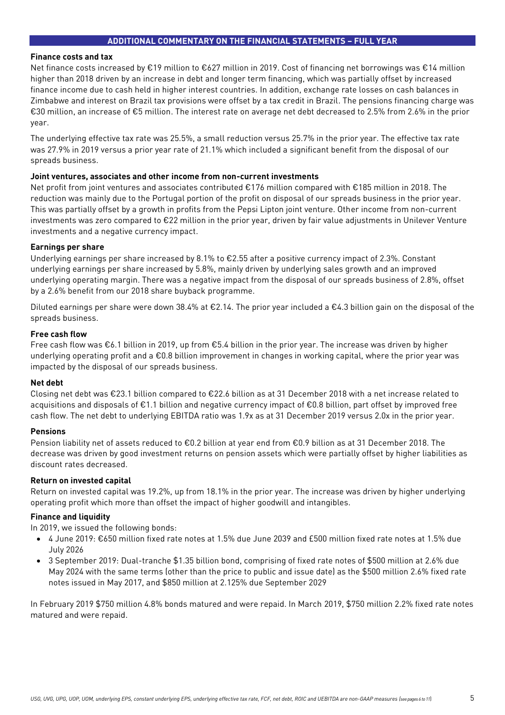## **Finance costs and tax**

Net finance costs increased by €19 million to €627 million in 2019. Cost of financing net borrowings was €14 million higher than 2018 driven by an increase in debt and longer term financing, which was partially offset by increased finance income due to cash held in higher interest countries. In addition, exchange rate losses on cash balances in Zimbabwe and interest on Brazil tax provisions were offset by a tax credit in Brazil. The pensions financing charge was €30 million, an increase of €5 million. The interest rate on average net debt decreased to 2.5% from 2.6% in the prior year.

The underlying effective tax rate was 25.5%, a small reduction versus 25.7% in the prior year. The effective tax rate was 27.9% in 2019 versus a prior year rate of 21.1% which included a significant benefit from the disposal of our spreads business.

# **Joint ventures, associates and other income from non-current investments**

Net profit from joint ventures and associates contributed €176 million compared with €185 million in 2018. The reduction was mainly due to the Portugal portion of the profit on disposal of our spreads business in the prior year. This was partially offset by a growth in profits from the Pepsi Lipton joint venture. Other income from non-current investments was zero compared to €22 million in the prior year, driven by fair value adjustments in Unilever Venture investments and a negative currency impact.

# **Earnings per share**

Underlying earnings per share increased by 8.1% to €2.55 after a positive currency impact of 2.3%. Constant underlying earnings per share increased by 5.8%, mainly driven by underlying sales growth and an improved underlying operating margin. There was a negative impact from the disposal of our spreads business of 2.8%, offset by a 2.6% benefit from our 2018 share buyback programme.

Diluted earnings per share were down 38.4% at €2.14. The prior year included a €4.3 billion gain on the disposal of the spreads business.

# **Free cash flow**

Free cash flow was €6.1 billion in 2019, up from €5.4 billion in the prior year. The increase was driven by higher underlying operating profit and a €0.8 billion improvement in changes in working capital, where the prior year was impacted by the disposal of our spreads business.

## **Net debt**

Closing net debt was €23.1 billion compared to €22.6 billion as at 31 December 2018 with a net increase related to acquisitions and disposals of €1.1 billion and negative currency impact of €0.8 billion, part offset by improved free cash flow. The net debt to underlying EBITDA ratio was 1.9x as at 31 December 2019 versus 2.0x in the prior year.

## **Pensions**

Pension liability net of assets reduced to €0.2 billion at year end from €0.9 billion as at 31 December 2018. The decrease was driven by good investment returns on pension assets which were partially offset by higher liabilities as discount rates decreased.

## **Return on invested capital**

Return on invested capital was 19.2%, up from 18.1% in the prior year. The increase was driven by higher underlying operating profit which more than offset the impact of higher goodwill and intangibles.

# **Finance and liquidity**

In 2019, we issued the following bonds:

- 4 June 2019: €650 million fixed rate notes at 1.5% due June 2039 and £500 million fixed rate notes at 1.5% due July 2026
- 3 September 2019: Dual-tranche \$1.35 billion bond, comprising of fixed rate notes of \$500 million at 2.6% due May 2024 with the same terms (other than the price to public and issue date) as the \$500 million 2.6% fixed rate notes issued in May 2017, and \$850 million at 2.125% due September 2029

In February 2019 \$750 million 4.8% bonds matured and were repaid. In March 2019, \$750 million 2.2% fixed rate notes matured and were repaid.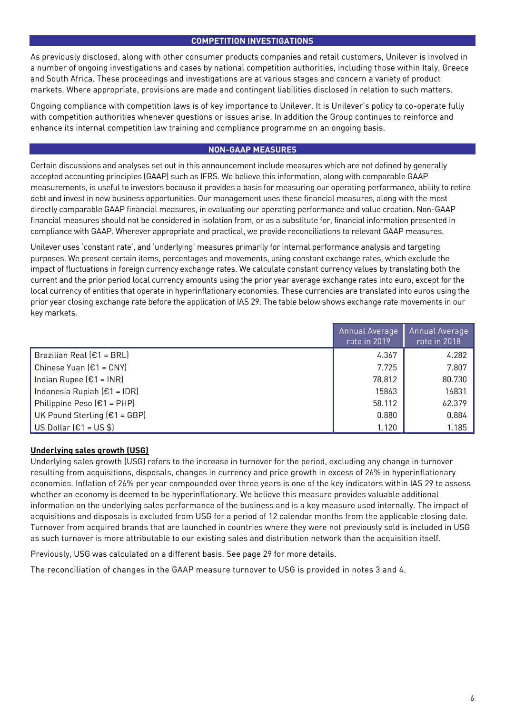# **COMPETITION INVESTIGATIONS**

As previously disclosed, along with other consumer products companies and retail customers, Unilever is involved in a number of ongoing investigations and cases by national competition authorities, including those within Italy, Greece and South Africa. These proceedings and investigations are at various stages and concern a variety of product markets. Where appropriate, provisions are made and contingent liabilities disclosed in relation to such matters.

Ongoing compliance with competition laws is of key importance to Unilever. It is Unilever's policy to co-operate fully with competition authorities whenever questions or issues arise. In addition the Group continues to reinforce and enhance its internal competition law training and compliance programme on an ongoing basis.

# **NON-GAAP MEASURES**

Certain discussions and analyses set out in this announcement include measures which are not defined by generally accepted accounting principles (GAAP) such as IFRS. We believe this information, along with comparable GAAP measurements, is useful to investors because it provides a basis for measuring our operating performance, ability to retire debt and invest in new business opportunities. Our management uses these financial measures, along with the most directly comparable GAAP financial measures, in evaluating our operating performance and value creation. Non-GAAP financial measures should not be considered in isolation from, or as a substitute for, financial information presented in compliance with GAAP. Wherever appropriate and practical, we provide reconciliations to relevant GAAP measures.

Unilever uses 'constant rate', and 'underlying' measures primarily for internal performance analysis and targeting purposes. We present certain items, percentages and movements, using constant exchange rates, which exclude the impact of fluctuations in foreign currency exchange rates. We calculate constant currency values by translating both the current and the prior period local currency amounts using the prior year average exchange rates into euro, except for the local currency of entities that operate in hyperinflationary economies. These currencies are translated into euros using the prior year closing exchange rate before the application of IAS 29. The table below shows exchange rate movements in our key markets.

|                              | Annual Average<br>rate in 2019 | Annual Average<br>rate in 2018 |
|------------------------------|--------------------------------|--------------------------------|
| Brazilian Real $(E1 = BRL)$  | 4.367                          | 4.282                          |
| Chinese Yuan $E1 = CNY$      | 7.725                          | 7.807                          |
| Indian Rupee $[£1 = INR]$    | 78.812                         | 80.730                         |
| Indonesia Rupiah $E1 = IDR$  | 15863                          | 16831                          |
| Philippine Peso $E1 = PHP$   | 58.112                         | 62.379                         |
| UK Pound Sterling $E1 = GBP$ | 0.880                          | 0.884                          |
| US Dollar $(E1 = US $)$      | 1.120                          | 1.185                          |

# **Underlying sales growth (USG)**

Underlying sales growth (USG) refers to the increase in turnover for the period, excluding any change in turnover resulting from acquisitions, disposals, changes in currency and price growth in excess of 26% in hyperinflationary economies. Inflation of 26% per year compounded over three years is one of the key indicators within IAS 29 to assess whether an economy is deemed to be hyperinflationary. We believe this measure provides valuable additional information on the underlying sales performance of the business and is a key measure used internally. The impact of acquisitions and disposals is excluded from USG for a period of 12 calendar months from the applicable closing date. Turnover from acquired brands that are launched in countries where they were not previously sold is included in USG as such turnover is more attributable to our existing sales and distribution network than the acquisition itself.

Previously, USG was calculated on a different basis. See page 29 for more details.

The reconciliation of changes in the GAAP measure turnover to USG is provided in notes 3 and 4.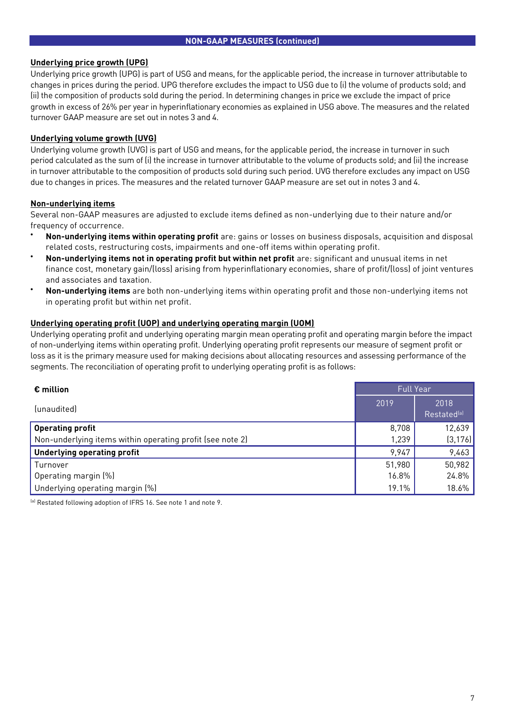# **Underlying price growth (UPG)**

Underlying price growth (UPG) is part of USG and means, for the applicable period, the increase in turnover attributable to changes in prices during the period. UPG therefore excludes the impact to USG due to (i) the volume of products sold; and (ii) the composition of products sold during the period. In determining changes in price we exclude the impact of price growth in excess of 26% per year in hyperinflationary economies as explained in USG above. The measures and the related turnover GAAP measure are set out in notes 3 and 4.

# **Underlying volume growth (UVG)**

Underlying volume growth (UVG) is part of USG and means, for the applicable period, the increase in turnover in such period calculated as the sum of (i) the increase in turnover attributable to the volume of products sold; and (ii) the increase in turnover attributable to the composition of products sold during such period. UVG therefore excludes any impact on USG due to changes in prices. The measures and the related turnover GAAP measure are set out in notes 3 and 4.

# **Non-underlying items**

Several non-GAAP measures are adjusted to exclude items defined as non-underlying due to their nature and/or frequency of occurrence.

- **Non-underlying items within operating profit** are: gains or losses on business disposals, acquisition and disposal related costs, restructuring costs, impairments and one-off items within operating profit.
- **Non-underlying items not in operating profit but within net profit** are: significant and unusual items in net finance cost, monetary gain/(loss) arising from hyperinflationary economies, share of profit/(loss) of joint ventures and associates and taxation.
- **Non-underlying items** are both non-underlying items within operating profit and those non-underlying items not in operating profit but within net profit.

# **Underlying operating profit (UOP) and underlying operating margin (UOM)**

Underlying operating profit and underlying operating margin mean operating profit and operating margin before the impact of non-underlying items within operating profit. Underlying operating profit represents our measure of segment profit or loss as it is the primary measure used for making decisions about allocating resources and assessing performance of the segments. The reconciliation of operating profit to underlying operating profit is as follows:

| $\epsilon$ million                                        | <b>Full Year</b> |                                 |
|-----------------------------------------------------------|------------------|---------------------------------|
| <i>(unaudited)</i>                                        | 2019             | 2018<br>Restated <sup>(a)</sup> |
| <b>Operating profit</b>                                   | 8,708            | 12,639                          |
| Non-underlying items within operating profit (see note 2) | 1,239            | (3, 176)                        |
| <b>Underlying operating profit</b>                        | 9,947            | 9,463                           |
| Turnover                                                  | 51,980           | 50,982                          |
| Operating margin (%)                                      | 16.8%            | 24.8%                           |
| Underlying operating margin (%)                           | 19.1%            | 18.6%                           |

(a) Restated following adoption of IFRS 16. See note 1 and note 9.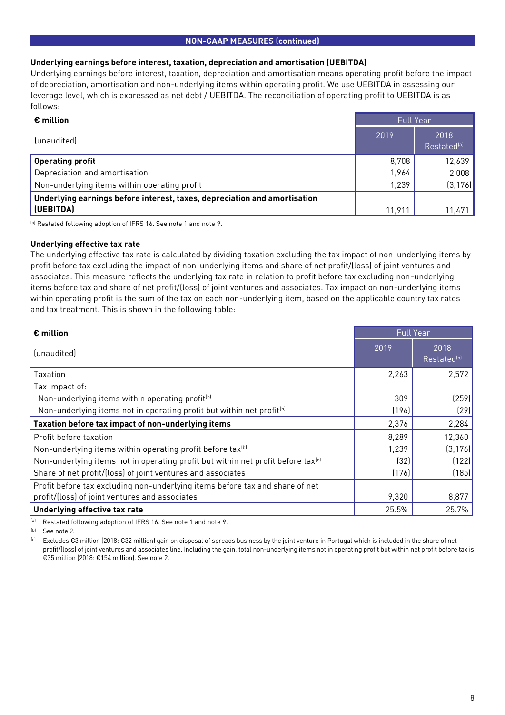# **NON-GAAP MEASURES (continued)**

# **Underlying earnings before interest, taxation, depreciation and amortisation (UEBITDA)**

Underlying earnings before interest, taxation, depreciation and amortisation means operating profit before the impact of depreciation, amortisation and non-underlying items within operating profit. We use UEBITDA in assessing our leverage level, which is expressed as net debt / UEBITDA. The reconciliation of operating profit to UEBITDA is as follows:

| $\epsilon$ million                                                        | <b>Full Year</b> |                                 |
|---------------------------------------------------------------------------|------------------|---------------------------------|
| (unaudited)                                                               | 2019             | 2018<br>Restated <sup>(a)</sup> |
| <b>Operating profit</b>                                                   | 8,708            | 12,639                          |
| Depreciation and amortisation                                             | 1,964            | 2,008                           |
| Non-underlying items within operating profit                              | 1,239            | (3, 176)                        |
| Underlying earnings before interest, taxes, depreciation and amortisation |                  |                                 |
| (UEBITDA)                                                                 | 11,911           | 11,471                          |

(a) Restated following adoption of IFRS 16. See note 1 and note 9.

# **Underlying effective tax rate**

The underlying effective tax rate is calculated by dividing taxation excluding the tax impact of non-underlying items by profit before tax excluding the impact of non-underlying items and share of net profit/(loss) of joint ventures and associates. This measure reflects the underlying tax rate in relation to profit before tax excluding non-underlying items before tax and share of net profit/(loss) of joint ventures and associates. Tax impact on non-underlying items within operating profit is the sum of the tax on each non-underlying item, based on the applicable country tax rates and tax treatment. This is shown in the following table:

| $\epsilon$ million                                                                           | <b>Full Year</b> |                                 |  |
|----------------------------------------------------------------------------------------------|------------------|---------------------------------|--|
| (unaudited)                                                                                  | 2019             | 2018<br>Restated <sup>(a)</sup> |  |
| Taxation                                                                                     | 2,263            | 2,572                           |  |
| Tax impact of:                                                                               |                  |                                 |  |
| Non-underlying items within operating profit <sup>(b)</sup>                                  | 309              | (259)                           |  |
| Non-underlying items not in operating profit but within net profit <sup>[b]</sup>            | (196)            | [29]                            |  |
| Taxation before tax impact of non-underlying items                                           | 2,376            | 2,284                           |  |
| Profit before taxation                                                                       | 8,289            | 12,360                          |  |
| Non-underlying items within operating profit before tax <sup>(b)</sup>                       | 1,239            | (3, 176)                        |  |
| Non-underlying items not in operating profit but within net profit before tax <sup>(c)</sup> | (32)             | (122)                           |  |
| Share of net profit/(loss) of joint ventures and associates                                  | (176)            | (185)                           |  |
| Profit before tax excluding non-underlying items before tax and share of net                 |                  |                                 |  |
| profit/(loss) of joint ventures and associates                                               | 9,320            | 8,877                           |  |
| Underlying effective tax rate                                                                | 25.5%            | 25.7%                           |  |

(a) Restated following adoption of IFRS 16. See note 1 and note 9.

(b) See note 2.

(c) Excludes €3 million (2018: €32 million) gain on disposal of spreads business by the joint venture in Portugal which is included in the share of net profit/(loss) of joint ventures and associates line. Including the gain, total non-underlying items not in operating profit but within net profit before tax is €35 million (2018: €154 million). See note 2.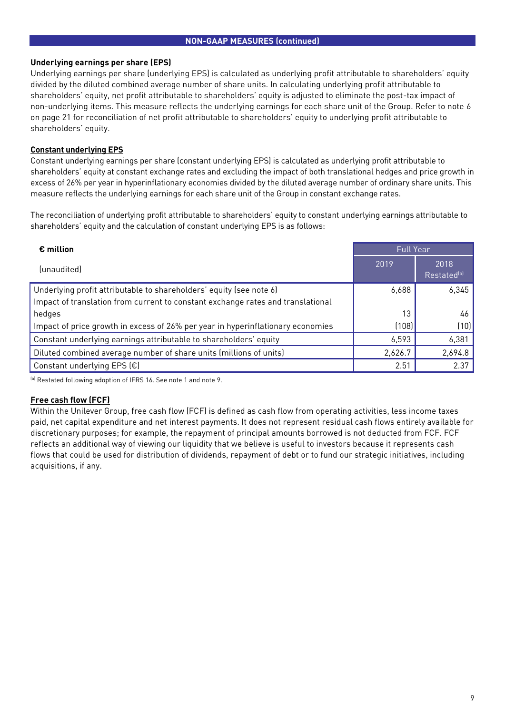# **NON-GAAP MEASURES (continued)**

# **Underlying earnings per share (EPS)**

Underlying earnings per share (underlying EPS) is calculated as underlying profit attributable to shareholders' equity divided by the diluted combined average number of share units. In calculating underlying profit attributable to shareholders' equity, net profit attributable to shareholders' equity is adjusted to eliminate the post-tax impact of non-underlying items. This measure reflects the underlying earnings for each share unit of the Group. Refer to note 6 on page 21 for reconciliation of net profit attributable to shareholders' equity to underlying profit attributable to shareholders' equity.

# **Constant underlying EPS**

Constant underlying earnings per share (constant underlying EPS) is calculated as underlying profit attributable to shareholders' equity at constant exchange rates and excluding the impact of both translational hedges and price growth in excess of 26% per year in hyperinflationary economies divided by the diluted average number of ordinary share units. This measure reflects the underlying earnings for each share unit of the Group in constant exchange rates.

The reconciliation of underlying profit attributable to shareholders' equity to constant underlying earnings attributable to shareholders' equity and the calculation of constant underlying EPS is as follows:

| $\epsilon$ million                                                              | <b>Full Year</b> |                                 |  |
|---------------------------------------------------------------------------------|------------------|---------------------------------|--|
| (unaudited)                                                                     | 2019             | 2018<br>Restated <sup>(a)</sup> |  |
| Underlying profit attributable to shareholders' equity (see note 6)             | 6,688            | 6,345                           |  |
| Impact of translation from current to constant exchange rates and translational |                  |                                 |  |
| hedges                                                                          | 13               | 46                              |  |
| Impact of price growth in excess of 26% per year in hyperinflationary economies | (108)            | (10)                            |  |
| Constant underlying earnings attributable to shareholders' equity               | 6,593            | 6,381                           |  |
| Diluted combined average number of share units (millions of units)              | 2,626.7          | 2,694.8                         |  |
| Constant underlying EPS (€)                                                     | 2.51             | 2.37                            |  |

(a) Restated following adoption of IFRS 16. See note 1 and note 9.

# **Free cash flow (FCF)**

Within the Unilever Group, free cash flow (FCF) is defined as cash flow from operating activities, less income taxes paid, net capital expenditure and net interest payments. It does not represent residual cash flows entirely available for discretionary purposes; for example, the repayment of principal amounts borrowed is not deducted from FCF. FCF reflects an additional way of viewing our liquidity that we believe is useful to investors because it represents cash flows that could be used for distribution of dividends, repayment of debt or to fund our strategic initiatives, including acquisitions, if any.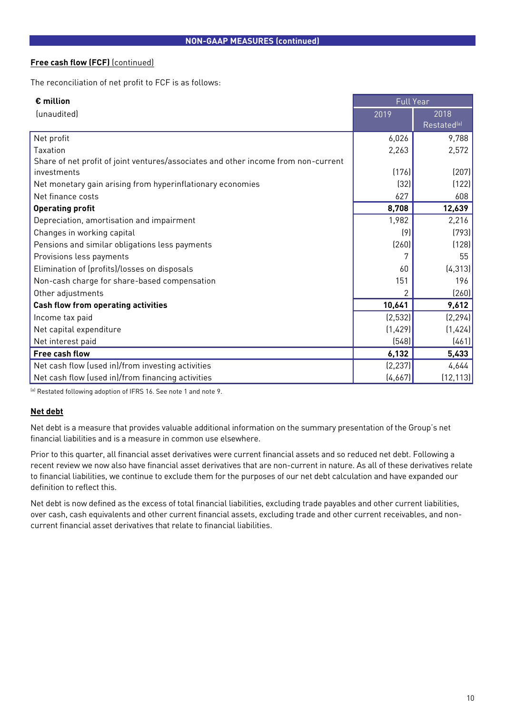# **Free cash flow (FCF)** (continued)

The reconciliation of net profit to FCF is as follows:

| $\epsilon$ million                                                                 | <b>Full Year</b> |                         |
|------------------------------------------------------------------------------------|------------------|-------------------------|
| (unaudited)                                                                        | 2019             | 2018                    |
|                                                                                    |                  | Restated <sup>(a)</sup> |
| Net profit                                                                         | 6,026            | 9,788                   |
| Taxation                                                                           | 2,263            | 2,572                   |
| Share of net profit of joint ventures/associates and other income from non-current |                  |                         |
| investments                                                                        | (176)            | (207)                   |
| Net monetary gain arising from hyperinflationary economies                         | (32)             | (122)                   |
| Net finance costs                                                                  | 627              | 608                     |
| <b>Operating profit</b>                                                            | 8,708            | 12,639                  |
| Depreciation, amortisation and impairment                                          | 1,982            | 2,216                   |
| Changes in working capital                                                         | (9)              | (793)                   |
| Pensions and similar obligations less payments                                     | (260)            | (128)                   |
| Provisions less payments                                                           |                  | 55                      |
| Elimination of (profits)/losses on disposals                                       | 60               | (4, 313)                |
| Non-cash charge for share-based compensation                                       | 151              | 196                     |
| Other adjustments                                                                  | 2                | (260)                   |
| <b>Cash flow from operating activities</b>                                         | 10,641           | 9,612                   |
| Income tax paid                                                                    | (2, 532)         | (2, 294)                |
| Net capital expenditure                                                            | (1,429)          | (1,424)                 |
| Net interest paid                                                                  | (548)            | (461)                   |
| <b>Free cash flow</b>                                                              | 6,132            | 5,433                   |
| Net cash flow (used in)/from investing activities                                  | (2, 237)         | 4,644                   |
| Net cash flow (used in)/from financing activities                                  | (4,667)          | (12, 113)               |

(a) Restated following adoption of IFRS 16. See note 1 and note 9.

# **Net debt**

Net debt is a measure that provides valuable additional information on the summary presentation of the Group's net financial liabilities and is a measure in common use elsewhere.

Prior to this quarter, all financial asset derivatives were current financial assets and so reduced net debt. Following a recent review we now also have financial asset derivatives that are non-current in nature. As all of these derivatives relate to financial liabilities, we continue to exclude them for the purposes of our net debt calculation and have expanded our definition to reflect this.

Net debt is now defined as the excess of total financial liabilities, excluding trade payables and other current liabilities, over cash, cash equivalents and other current financial assets, excluding trade and other current receivables, and noncurrent financial asset derivatives that relate to financial liabilities.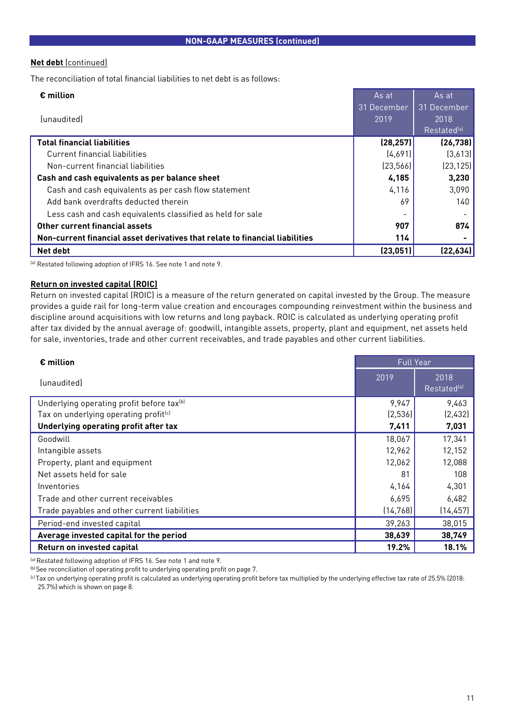# **Net debt** (continued)

The reconciliation of total financial liabilities to net debt is as follows:

| $\epsilon$ million                                                           | As at       | As at                   |
|------------------------------------------------------------------------------|-------------|-------------------------|
|                                                                              | 31 December | 31 December             |
| (unaudited)                                                                  | 2019        | 2018                    |
|                                                                              |             | Restated <sup>(a)</sup> |
| <b>Total financial liabilities</b>                                           | (28, 257)   | (26, 738)               |
| Current financial liabilities                                                | (4,691)     | (3,613)                 |
| Non-current financial liabilities                                            | [23,566]    | (23, 125)               |
| Cash and cash equivalents as per balance sheet                               | 4,185       | 3,230                   |
| Cash and cash equivalents as per cash flow statement                         | 4,116       | 3,090                   |
| Add bank overdrafts deducted therein                                         | 69          | 140                     |
| Less cash and cash equivalents classified as held for sale                   |             |                         |
| Other current financial assets                                               | 907         | 874                     |
| Non-current financial asset derivatives that relate to financial liabilities | 114         |                         |
| Net debt                                                                     | (23, 051)   | (22, 634)               |

(a) Restated following adoption of IFRS 16. See note 1 and note 9.

# **Return on invested capital (ROIC)**

Return on invested capital (ROIC) is a measure of the return generated on capital invested by the Group. The measure provides a guide rail for long-term value creation and encourages compounding reinvestment within the business and discipline around acquisitions with low returns and long payback. ROIC is calculated as underlying operating profit after tax divided by the annual average of: goodwill, intangible assets, property, plant and equipment, net assets held for sale, inventories, trade and other current receivables, and trade payables and other current liabilities.

| € million                                             | <b>Full Year</b> |                                 |
|-------------------------------------------------------|------------------|---------------------------------|
| (unaudited)                                           | 2019             | 2018<br>Restated <sup>(a)</sup> |
| Underlying operating profit before tax <sup>(b)</sup> | 9,947            | 9,463                           |
| Tax on underlying operating profit <sup>(c)</sup>     | (2,536)          | (2,432)                         |
| Underlying operating profit after tax                 | 7,411            | 7,031                           |
| Goodwill                                              | 18,067           | 17,341                          |
| Intangible assets                                     | 12,962           | 12,152                          |
| Property, plant and equipment                         | 12,062           | 12,088                          |
| Net assets held for sale                              | 81               | 108                             |
| Inventories                                           | 4,164            | 4,301                           |
| Trade and other current receivables                   | 6,695            | 6,482                           |
| Trade payables and other current liabilities          | (14, 768)        | (14, 457)                       |
| Period-end invested capital                           | 39,263           | 38,015                          |
| Average invested capital for the period               | 38,639           | 38,749                          |
| Return on invested capital                            | 19.2%            | 18.1%                           |

(a) Restated following adoption of IFRS 16. See note 1 and note 9.

(b) See reconciliation of operating profit to underlying operating profit on page 7.

<sup>(c)</sup> Tax on underlying operating profit is calculated as underlying operating profit before tax multiplied by the underlying effective tax rate of 25.5% (2018: 25.7%) which is shown on page 8.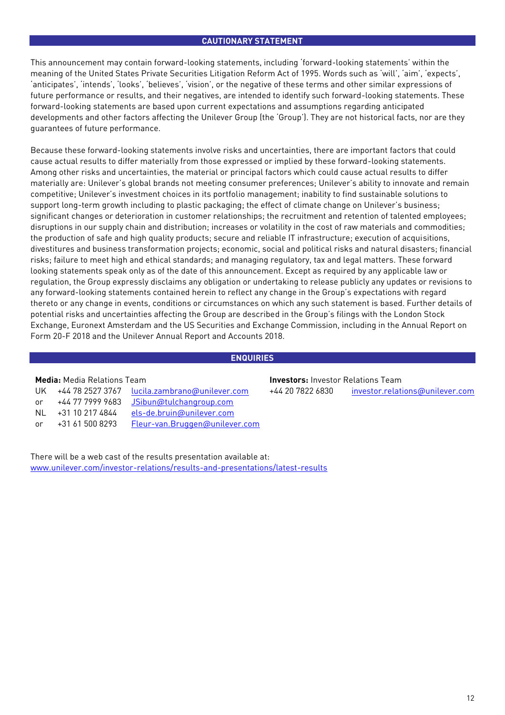# **CAUTIONARY STATEMENT**

This announcement may contain forward-looking statements, including 'forward-looking statements' within the meaning of the United States Private Securities Litigation Reform Act of 1995. Words such as 'will', 'aim', 'expects', 'anticipates', 'intends', 'looks', 'believes', 'vision', or the negative of these terms and other similar expressions of future performance or results, and their negatives, are intended to identify such forward-looking statements. These forward-looking statements are based upon current expectations and assumptions regarding anticipated developments and other factors affecting the Unilever Group (the 'Group'). They are not historical facts, nor are they guarantees of future performance.

Because these forward-looking statements involve risks and uncertainties, there are important factors that could cause actual results to differ materially from those expressed or implied by these forward-looking statements. Among other risks and uncertainties, the material or principal factors which could cause actual results to differ materially are: Unilever's global brands not meeting consumer preferences; Unilever's ability to innovate and remain competitive; Unilever's investment choices in its portfolio management; inability to find sustainable solutions to support long-term growth including to plastic packaging; the effect of climate change on Unilever's business; significant changes or deterioration in customer relationships; the recruitment and retention of talented employees; disruptions in our supply chain and distribution; increases or volatility in the cost of raw materials and commodities; the production of safe and high quality products; secure and reliable IT infrastructure; execution of acquisitions, divestitures and business transformation projects; economic, social and political risks and natural disasters; financial risks; failure to meet high and ethical standards; and managing regulatory, tax and legal matters. These forward looking statements speak only as of the date of this announcement. Except as required by any applicable law or regulation, the Group expressly disclaims any obligation or undertaking to release publicly any updates or revisions to any forward-looking statements contained herein to reflect any change in the Group's expectations with regard thereto or any change in events, conditions or circumstances on which any such statement is based. Further details of potential risks and uncertainties affecting the Group are described in the Group's filings with the London Stock Exchange, Euronext Amsterdam and the US Securities and Exchange Commission, including in the Annual Report on Form 20-F 2018 and the Unilever Annual Report and Accounts 2018.

# **ENQUIRIES**

| UK  | +44 78 2527 3767 | lucila.zambrano@unilever.com   |
|-----|------------------|--------------------------------|
| or  | +44 77 7999 9683 | JSibun@tulchangroup.com        |
| NI. | +31 10 217 4844  | els-de.bruin@unilever.com      |
| or  | +31 61 500 8293  | Fleur-van.Bruggen@unilever.com |

**Media:** Media Relations Team **Investors:** Investor Relations Team +44 20 7822 6830 [investor.relations@unilever.com](mailto:investor.relations@unilever.com)

There will be a web cast of the results presentation available at: [www.unilever.com/investor-relations/results-and-presentations/latest-results](https://www.unilever.com/investor-relations/results-and-presentations/latest-results/?utm_source=Qresults&utm_medium=Results-PDF)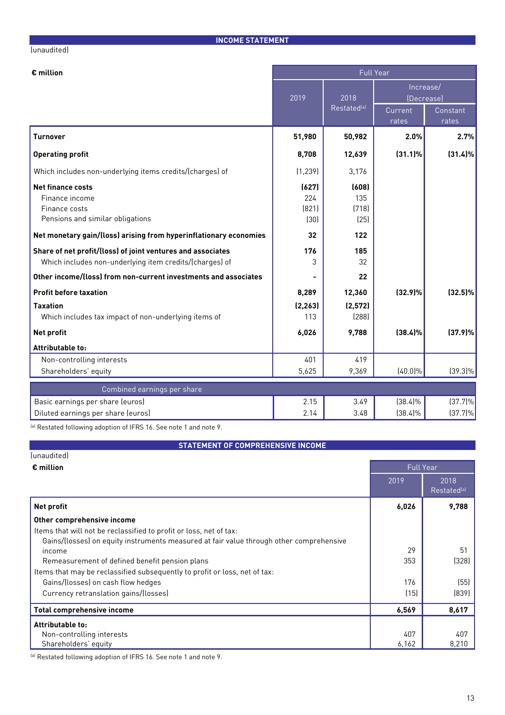# (unaudited)

**INCOME STATEMENT**

| $\epsilon$ million                                                                                                     | <b>Full Year</b>              |                               |                         |                   |  |
|------------------------------------------------------------------------------------------------------------------------|-------------------------------|-------------------------------|-------------------------|-------------------|--|
|                                                                                                                        | 2019                          | 2018                          | Increase/<br>(Decrease) |                   |  |
|                                                                                                                        |                               | Restated <sup>(a)</sup>       | Current<br>rates        | Constant<br>rates |  |
| <b>Turnover</b>                                                                                                        | 51,980                        | 50,982                        | 2.0%                    | 2.7%              |  |
| <b>Operating profit</b>                                                                                                | 8,708                         | 12,639                        | $(31.1)\%$              | $(31.4)\%$        |  |
| Which includes non-underlying items credits/(charges) of                                                               | (1, 239)                      | 3,176                         |                         |                   |  |
| <b>Net finance costs</b><br>Finance income<br>Finance costs<br>Pensions and similar obligations                        | (627)<br>224<br>(821)<br>(30) | (608)<br>135<br>(718)<br>[25] |                         |                   |  |
| Net monetary gain/(loss) arising from hyperinflationary economies                                                      | 32                            | 122                           |                         |                   |  |
| Share of net profit/(loss) of joint ventures and associates<br>Which includes non-underlying item credits/(charges) of | 176<br>3                      | 185<br>32                     |                         |                   |  |
| Other income/(loss) from non-current investments and associates                                                        |                               | 22                            |                         |                   |  |
| <b>Profit before taxation</b>                                                                                          | 8,289                         | 12,360                        | (32.9)%                 | $(32.5)\%$        |  |
| <b>Taxation</b><br>Which includes tax impact of non-underlying items of                                                | (2, 263)<br>113               | (2,572)<br>[288]              |                         |                   |  |
| Net profit                                                                                                             | 6,026                         | 9,788                         | (38.4)%                 | (37.9)%           |  |
| Attributable to:                                                                                                       |                               |                               |                         |                   |  |
| Non-controlling interests                                                                                              | 401                           | 419                           |                         |                   |  |
| Shareholders' equity                                                                                                   | 5,625                         | 9,369                         | $(40.0)\%$              | $(39.3)\%$        |  |
| Combined earnings per share                                                                                            |                               |                               |                         |                   |  |
| Basic earnings per share (euros)                                                                                       | 2.15                          | 3.49                          | $(38.4)\%$              | $(37.7)\%$        |  |
| Diluted earnings per share (euros)                                                                                     | 2.14                          | 3.48                          | $(38.4)\%$              | $(37.7)\%$        |  |

(a) Restated following adoption of IFRS 16. See note 1 and note 9.

# **STATEMENT OF COMPREHENSIVE INCOME**

| (unaudited)                                                                             |       |                                 |  |  |
|-----------------------------------------------------------------------------------------|-------|---------------------------------|--|--|
| $\epsilon$ million                                                                      |       | <b>Full Year</b>                |  |  |
|                                                                                         | 2019  | 2018<br>Restated <sup>(a)</sup> |  |  |
| <b>Net profit</b>                                                                       | 6,026 | 9,788                           |  |  |
| Other comprehensive income                                                              |       |                                 |  |  |
| Items that will not be reclassified to profit or loss, net of tax:                      |       |                                 |  |  |
| Gains/(losses) on equity instruments measured at fair value through other comprehensive |       |                                 |  |  |
| income                                                                                  | 29    | 51                              |  |  |
| Remeasurement of defined benefit pension plans                                          | 353   | (328)                           |  |  |
| Items that may be reclassified subsequently to profit or loss, net of tax:              |       |                                 |  |  |
| Gains/(losses) on cash flow hedges                                                      | 176   | (55)                            |  |  |
| Currency retranslation gains/(losses)                                                   | (15)  | (839)                           |  |  |
| <b>Total comprehensive income</b>                                                       | 6,569 | 8,617                           |  |  |
| Attributable to:                                                                        |       |                                 |  |  |
| Non-controlling interests                                                               | 407   | 407                             |  |  |
| Shareholders' equity                                                                    | 6,162 | 8,210                           |  |  |
|                                                                                         |       |                                 |  |  |

(a) Restated following adoption of IFRS 16. See note 1 and note 9.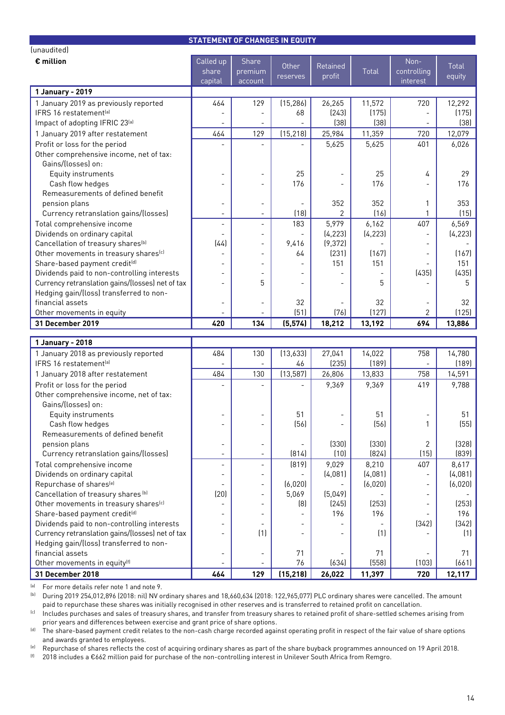|                                                   | <b>STATEMENT OF CHANGES IN EQUITY</b> |                          |                |                          |              |                          |              |
|---------------------------------------------------|---------------------------------------|--------------------------|----------------|--------------------------|--------------|--------------------------|--------------|
| (unaudited)                                       |                                       |                          |                |                          |              |                          |              |
| $\epsilon$ million                                | Called up                             | Share                    | Other          | Retained                 |              | Non-                     | <b>Total</b> |
|                                                   | share                                 | premium                  | reserves       | profit                   | <b>Total</b> | controlling              | equity       |
|                                                   | capital                               | account                  |                |                          |              | interest                 |              |
| 1 January - 2019                                  |                                       |                          |                |                          |              |                          |              |
| 1 January 2019 as previously reported             | 464                                   | 129                      | (15, 286)      | 26,265                   | 11,572       | 720                      | 12,292       |
| IFRS 16 restatement <sup>[a]</sup>                |                                       |                          | 68             | [243]                    | (175)        |                          | (175)        |
| Impact of adopting IFRIC 23[a]                    |                                       |                          |                | (38)                     | (38)         |                          | (38)         |
| 1 January 2019 after restatement                  | 464                                   | 129                      | (15, 218)      | 25,984                   | 11,359       | 720                      | 12,079       |
| Profit or loss for the period                     |                                       |                          |                | 5,625                    | 5,625        | 401                      | 6,026        |
| Other comprehensive income, net of tax:           |                                       |                          |                |                          |              |                          |              |
| Gains/(losses) on:                                |                                       |                          |                |                          |              |                          |              |
| Equity instruments                                |                                       |                          | 25             |                          | 25           | 4                        | 29           |
| Cash flow hedges                                  |                                       |                          | 176            |                          | 176          |                          | 176          |
| Remeasurements of defined benefit                 |                                       |                          |                |                          |              |                          |              |
| pension plans                                     | $\overline{a}$                        | $\overline{\phantom{0}}$ |                | 352                      | 352          | 1                        | 353          |
| Currency retranslation gains/(losses)             | $\overline{\phantom{a}}$              | $\overline{\phantom{a}}$ | (18)           | 2                        | (16)         |                          | (15)         |
| Total comprehensive income                        | $\overline{a}$                        | ÷,                       | 183            | 5,979                    | 6,162        | 407                      | 6,569        |
| Dividends on ordinary capital                     | $\blacksquare$                        | $\overline{a}$           | $\overline{a}$ | (4, 223)                 | (4, 223)     | $\overline{\phantom{a}}$ | (4, 223)     |
| Cancellation of treasury shares <sup>(b)</sup>    | (44)                                  | $\overline{a}$           | 9,416          | (9, 372)                 |              | $\overline{\phantom{m}}$ |              |
| Other movements in treasury shares <sup>(c)</sup> |                                       | $\blacksquare$           | 64             | (231)                    | (167)        |                          | (167)        |
| Share-based payment credit <sup>(d)</sup>         |                                       |                          |                | 151                      | 151          |                          | 151          |
| Dividends paid to non-controlling interests       |                                       |                          |                |                          |              | (435)                    | (435)        |
| Currency retranslation gains/(losses) net of tax  |                                       | 5                        |                |                          | 5            |                          | 5            |
| Hedging gain/(loss) transferred to non-           |                                       |                          |                |                          |              |                          |              |
| financial assets                                  | $\overline{a}$                        | $\overline{\phantom{a}}$ | 32             |                          | 32           |                          | 32           |
| Other movements in equity                         |                                       |                          | (51)           | (76)                     | (127)        | 2                        | (125)        |
| 31 December 2019                                  | 420                                   | 134                      | (5, 574)       | 18,212                   | 13,192       | 694                      | 13,886       |
|                                                   |                                       |                          |                |                          |              |                          |              |
| 1 January - 2018                                  |                                       |                          |                |                          |              |                          |              |
| 1 January 2018 as previously reported             | 484                                   | 130                      | (13,633)       | 27,041                   | 14,022       | 758                      | 14,780       |
| IFRS 16 restatement <sup>[a]</sup>                |                                       |                          | 46             | (235)                    | (189)        |                          | (189)        |
| 1 January 2018 after restatement                  | 484                                   | 130                      | (13, 587)      | 26,806                   | 13,833       | 758                      | 14,591       |
| Profit or loss for the period                     |                                       |                          |                | 9,369                    | 9,369        | 419                      | 9,788        |
| Other comprehensive income, net of tax:           |                                       |                          |                |                          |              |                          |              |
| Gains/(losses) on:                                |                                       |                          |                |                          |              |                          |              |
| Equity instruments                                |                                       |                          | 51             |                          | 51           |                          | 51           |
| Cash flow hedges                                  | $\overline{\phantom{a}}$              |                          | (56)           | $\overline{\phantom{a}}$ | (56)         | 1                        | (55)         |
| Remeasurements of defined benefit                 |                                       |                          |                |                          |              |                          |              |
| pension plans                                     | $\overline{\phantom{0}}$              | $\overline{\phantom{a}}$ |                | (330)                    | (330)        | 2                        | (328)        |
| Currency retranslation gains/(losses)             | $\overline{\phantom{a}}$              |                          | (814)          | (10)                     | (824)        | (15)                     | (839)        |
| Total comprehensive income                        | $\overline{\phantom{a}}$              |                          | (819)          | 9,029                    | 8,210        | 407                      | 8,617        |
| Dividends on ordinary capital                     | $\overline{a}$                        | $\overline{\phantom{a}}$ |                | (4,081)                  | (4,081)      | $\overline{\phantom{0}}$ | (4,081)      |
| Repurchase of shares <sup>(e)</sup>               | $\overline{a}$                        | $\overline{\phantom{a}}$ | (6,020)        |                          | (6,020)      | $\blacksquare$           | (6,020)      |
| Cancellation of treasury shares [b]               | (20)                                  | $\overline{\phantom{a}}$ | 5,069          | (5,049)                  |              | $\blacksquare$           |              |
| Other movements in treasury shares <sup>(c)</sup> |                                       | $\overline{\phantom{a}}$ | (8)            | (245)                    | (253)        | $\overline{\phantom{a}}$ | (253)        |
| Share-based payment credit <sup>(d)</sup>         | $\overline{\phantom{a}}$              | $\overline{\phantom{a}}$ |                | 196                      | 196          | $\blacksquare$           | 196          |
| Dividends paid to non-controlling interests       | $\overline{a}$                        | $\overline{\phantom{a}}$ |                |                          |              | (342)                    | (342)        |
| Currency retranslation gains/(losses) net of tax  | $\overline{\phantom{a}}$              | (1)                      |                |                          | (1)          |                          | (1)          |
| Hedging gain/(loss) transferred to non-           |                                       |                          |                |                          |              |                          |              |
| financial assets                                  | $\overline{\phantom{a}}$              | $\overline{\phantom{a}}$ | 71             | $\overline{\phantom{a}}$ | 71           | $\overline{\phantom{a}}$ | 71           |
|                                                   |                                       |                          |                |                          |              |                          |              |
| Other movements in equity <sup>(f)</sup>          |                                       |                          | 76             | (634)                    | (558)        | (103)                    | (661)        |

(a) For more details refer note 1 and note 9.

(b) During 2019 254,012,896 (2018: nil) NV ordinary shares and 18,660,634 (2018: 122,965,077) PLC ordinary shares were cancelled. The amount paid to repurchase these shares was initially recognised in other reserves and is transferred to retained profit on cancellation.

(c) Includes purchases and sales of treasury shares, and transfer from treasury shares to retained profit of share-settled schemes arising from prior years and differences between exercise and grant price of share options.

<sup>(d)</sup> The share-based payment credit relates to the non-cash charge recorded against operating profit in respect of the fair value of share options and awards granted to employees.

<sup>(e)</sup> Repurchase of shares reflects the cost of acquiring ordinary shares as part of the share buyback programmes announced on 19 April 2018.

(f) 2018 includes a €662 million paid for purchase of the non-controlling interest in Unilever South Africa from Remgro.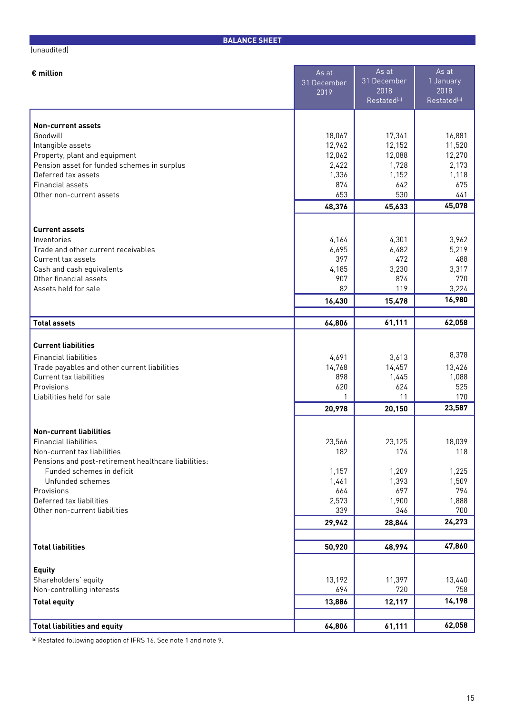## (unaudited)

**BALANCE SHEET**

| $\epsilon$ million                                   | As at<br>31 December | As at<br>31 December            | As at<br>1 January              |
|------------------------------------------------------|----------------------|---------------------------------|---------------------------------|
|                                                      | 2019                 | 2018<br>Restated <sup>[a]</sup> | 2018<br>Restated <sup>(a)</sup> |
|                                                      |                      |                                 |                                 |
| <b>Non-current assets</b><br>Goodwill                |                      |                                 | 16,881                          |
| Intangible assets                                    | 18,067<br>12,962     | 17,341<br>12,152                | 11,520                          |
| Property, plant and equipment                        | 12,062               | 12,088                          | 12,270                          |
| Pension asset for funded schemes in surplus          | 2,422                | 1,728                           | 2,173                           |
| Deferred tax assets                                  | 1,336                | 1,152                           | 1,118                           |
| <b>Financial assets</b>                              | 874                  | 642                             | 675                             |
| Other non-current assets                             | 653<br>48,376        | 530<br>45,633                   | 441<br>45,078                   |
|                                                      |                      |                                 |                                 |
| <b>Current assets</b>                                |                      |                                 |                                 |
| Inventories                                          | 4,164                | 4,301                           | 3,962                           |
| Trade and other current receivables                  | 6,695                | 6,482                           | 5,219                           |
| Current tax assets                                   | 397                  | 472                             | 488                             |
| Cash and cash equivalents<br>Other financial assets  | 4,185<br>907         | 3,230<br>874                    | 3,317<br>770                    |
| Assets held for sale                                 | 82                   | 119                             | 3,224                           |
|                                                      | 16,430               | 15,478                          | 16,980                          |
|                                                      |                      |                                 |                                 |
| <b>Total assets</b>                                  | 64,806               | 61,111                          | 62,058                          |
| <b>Current liabilities</b>                           |                      |                                 |                                 |
| <b>Financial liabilities</b>                         | 4,691                | 3,613                           | 8,378                           |
| Trade payables and other current liabilities         | 14,768               | 14,457                          | 13,426                          |
| Current tax liabilities                              | 898                  | 1,445                           | 1,088                           |
| Provisions                                           | 620                  | 624                             | 525                             |
| Liabilities held for sale                            | 1                    | 11                              | 170<br>23,587                   |
|                                                      | 20,978               | 20,150                          |                                 |
| <b>Non-current liabilities</b>                       |                      |                                 |                                 |
| Financial liabilities                                | 23,566               | 23,125                          | 18,039                          |
| Non-current tax liabilities                          | 182                  | 174                             | 118                             |
| Pensions and post-retirement healthcare liabilities: |                      |                                 |                                 |
| Funded schemes in deficit<br>Unfunded schemes        | 1,157<br>1,461       | 1,209<br>1,393                  | 1,225<br>1,509                  |
| Provisions                                           | 664                  | 697                             | 794                             |
| Deferred tax liabilities                             | 2,573                | 1,900                           | 1,888                           |
| Other non-current liabilities                        | 339                  | 346                             | 700                             |
|                                                      | 29,942               | 28,844                          | 24,273                          |
|                                                      |                      |                                 |                                 |
| <b>Total liabilities</b>                             | 50,920               | 48,994                          | 47,860                          |
| <b>Equity</b>                                        |                      |                                 |                                 |
| Shareholders' equity                                 | 13,192               | 11,397                          | 13,440                          |
| Non-controlling interests                            | 694                  | 720                             | 758                             |
| <b>Total equity</b>                                  | 13,886               | 12,117                          | 14,198                          |
|                                                      |                      |                                 |                                 |
| <b>Total liabilities and equity</b>                  | 64,806               | 61,111                          | 62,058                          |

(a) Restated following adoption of IFRS 16. See note 1 and note 9.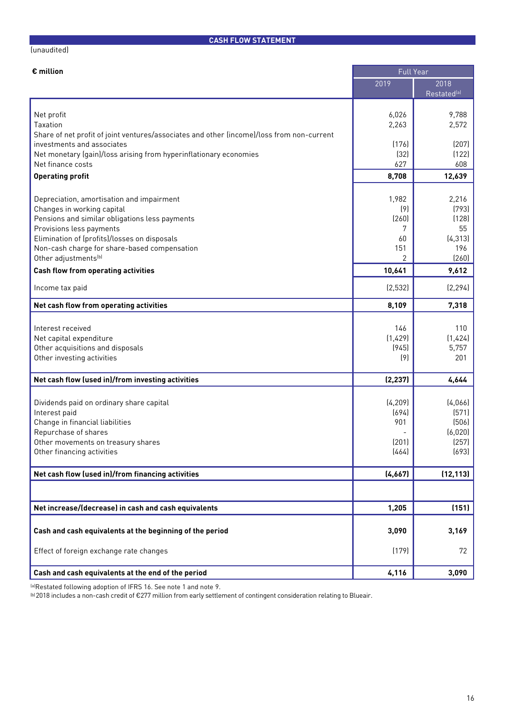# **CASH FLOW STATEMENT**

### (unaudited)

| $\epsilon$ million                                                                                                                                                                                                                                                                        | <b>Full Year</b>                             |                                                           |
|-------------------------------------------------------------------------------------------------------------------------------------------------------------------------------------------------------------------------------------------------------------------------------------------|----------------------------------------------|-----------------------------------------------------------|
|                                                                                                                                                                                                                                                                                           | 2019                                         | 2018<br>Restated <sup>(a)</sup>                           |
| Net profit<br>Taxation<br>Share of net profit of joint ventures/associates and other (income)/loss from non-current                                                                                                                                                                       | 6,026<br>2,263                               | 9,788<br>2,572                                            |
| investments and associates<br>Net monetary (gain)/loss arising from hyperinflationary economies<br>Net finance costs                                                                                                                                                                      | (176)<br>(32)<br>627                         | (207)<br>(122)<br>608                                     |
| <b>Operating profit</b>                                                                                                                                                                                                                                                                   | 8,708                                        | 12,639                                                    |
| Depreciation, amortisation and impairment<br>Changes in working capital<br>Pensions and similar obligations less payments<br>Provisions less payments<br>Elimination of (profits)/losses on disposals<br>Non-cash charge for share-based compensation<br>Other adjustments <sup>(b)</sup> | 1,982<br>(9)<br>(260)<br>7<br>60<br>151<br>2 | 2,216<br>(793)<br>(128)<br>55<br>(4, 313)<br>196<br>(260) |
| <b>Cash flow from operating activities</b>                                                                                                                                                                                                                                                | 10,641                                       | 9,612                                                     |
| Income tax paid                                                                                                                                                                                                                                                                           | (2,532)                                      | (2, 294)                                                  |
| Net cash flow from operating activities                                                                                                                                                                                                                                                   | 8,109                                        | 7,318                                                     |
| Interest received<br>Net capital expenditure<br>Other acquisitions and disposals<br>Other investing activities                                                                                                                                                                            | 146<br>(1,429)<br>(945)<br>(9)               | 110<br>(1,424)<br>5,757<br>201                            |
| Net cash flow (used in)/from investing activities                                                                                                                                                                                                                                         | (2, 237)                                     | 4,644                                                     |
| Dividends paid on ordinary share capital<br>Interest paid<br>Change in financial liabilities<br>Repurchase of shares<br>Other movements on treasury shares<br>Other financing activities                                                                                                  | (4, 209)<br>(694)<br>901<br>(201)<br>(464)   | (4,066)<br>(571)<br>(506)<br>(6,020)<br>(257)<br>(693)    |
| Net cash flow (used in)/from financing activities                                                                                                                                                                                                                                         | (4,667)                                      | (12, 113)                                                 |
|                                                                                                                                                                                                                                                                                           |                                              |                                                           |
| Net increase/(decrease) in cash and cash equivalents                                                                                                                                                                                                                                      | 1,205                                        | (151)                                                     |
| Cash and cash equivalents at the beginning of the period                                                                                                                                                                                                                                  | 3,090                                        | 3,169                                                     |
| Effect of foreign exchange rate changes                                                                                                                                                                                                                                                   | (179)                                        | 72                                                        |
| Cash and cash equivalents at the end of the period                                                                                                                                                                                                                                        | 4,116                                        | 3,090                                                     |

(a)Restated following adoption of IFRS 16. See note 1 and note 9.

(b)2018 includes a non-cash credit of €277 million from early settlement of contingent consideration relating to Blueair.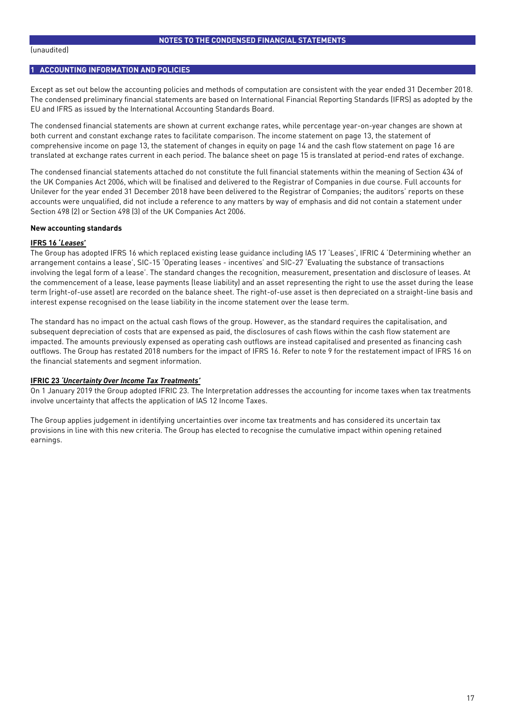#### (unaudited)

## **1 ACCOUNTING INFORMATION AND POLICIES**

Except as set out below the accounting policies and methods of computation are consistent with the year ended 31 December 2018. The condensed preliminary financial statements are based on International Financial Reporting Standards (IFRS) as adopted by the EU and IFRS as issued by the International Accounting Standards Board.

The condensed financial statements are shown at current exchange rates, while percentage year-on-year changes are shown at both current and constant exchange rates to facilitate comparison. The income statement on page 13, the statement of comprehensive income on page 13, the statement of changes in equity on page 14 and the cash flow statement on page 16 are translated at exchange rates current in each period. The balance sheet on page 15 is translated at period-end rates of exchange.

The condensed financial statements attached do not constitute the full financial statements within the meaning of Section 434 of the UK Companies Act 2006, which will be finalised and delivered to the Registrar of Companies in due course. Full accounts for Unilever for the year ended 31 December 2018 have been delivered to the Registrar of Companies; the auditors' reports on these accounts were unqualified, did not include a reference to any matters by way of emphasis and did not contain a statement under Section 498 (2) or Section 498 (3) of the UK Companies Act 2006.

#### **New accounting standards**

#### **IFRS 16 '***Leases***'**

The Group has adopted IFRS 16 which replaced existing lease guidance including IAS 17 'Leases', IFRIC 4 'Determining whether an arrangement contains a lease', SIC-15 'Operating leases - incentives' and SIC-27 'Evaluating the substance of transactions involving the legal form of a lease'. The standard changes the recognition, measurement, presentation and disclosure of leases. At the commencement of a lease, lease payments (lease liability) and an asset representing the right to use the asset during the lease term (right-of-use asset) are recorded on the balance sheet. The right-of-use asset is then depreciated on a straight-line basis and interest expense recognised on the lease liability in the income statement over the lease term.

The standard has no impact on the actual cash flows of the group. However, as the standard requires the capitalisation, and subsequent depreciation of costs that are expensed as paid, the disclosures of cash flows within the cash flow statement are impacted. The amounts previously expensed as operating cash outflows are instead capitalised and presented as financing cash outflows. The Group has restated 2018 numbers for the impact of IFRS 16. Refer to note 9 for the restatement impact of IFRS 16 on the financial statements and segment information.

#### **IFRIC 23** *'Uncertainty Over Income Tax Treatments'*

On 1 January 2019 the Group adopted IFRIC 23. The Interpretation addresses the accounting for income taxes when tax treatments involve uncertainty that affects the application of IAS 12 Income Taxes.

The Group applies judgement in identifying uncertainties over income tax treatments and has considered its uncertain tax provisions in line with this new criteria. The Group has elected to recognise the cumulative impact within opening retained earnings.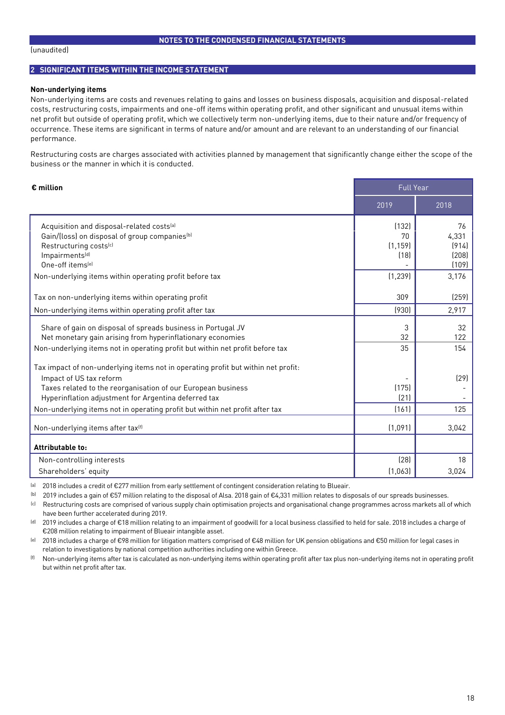#### (unaudited)

## **2 SIGNIFICANT ITEMS WITHIN THE INCOME STATEMENT**

#### **Non-underlying items**

Non-underlying items are costs and revenues relating to gains and losses on business disposals, acquisition and disposal-related costs, restructuring costs, impairments and one-off items within operating profit, and other significant and unusual items within net profit but outside of operating profit, which we collectively term non-underlying items, due to their nature and/or frequency of occurrence. These items are significant in terms of nature and/or amount and are relevant to an understanding of our financial performance.

Restructuring costs are charges associated with activities planned by management that significantly change either the scope of the business or the manner in which it is conducted.

| $\epsilon$ million                                                                | <b>Full Year</b> |           |
|-----------------------------------------------------------------------------------|------------------|-----------|
|                                                                                   | 2019             | 2018      |
| Acquisition and disposal-related costs <sup>[a]</sup>                             | (132)            | 76        |
| Gain/(loss) on disposal of group companies <sup>(b)</sup>                         | 70               | 4,331     |
| Restructuring costs <sup>(c)</sup>                                                | (1, 159)         | (914)     |
| Impairments <sup>[d]</sup>                                                        | (18)             | (208)     |
| One-off items <sup>(e)</sup>                                                      |                  | (109)     |
| Non-underlying items within operating profit before tax                           | (1, 239)         | 3,176     |
| Tax on non-underlying items within operating profit                               | 309              | (259)     |
| Non-underlying items within operating profit after tax                            | (930)            | 2,917     |
|                                                                                   |                  |           |
| Share of gain on disposal of spreads business in Portugal JV                      | 3<br>32          | 32<br>122 |
| Net monetary gain arising from hyperinflationary economies                        |                  |           |
| Non-underlying items not in operating profit but within net profit before tax     | 35               | 154       |
| Tax impact of non-underlying items not in operating profit but within net profit: |                  |           |
| Impact of US tax reform                                                           |                  | [29]      |
| Taxes related to the reorganisation of our European business                      | (175)            |           |
| Hyperinflation adjustment for Argentina deferred tax                              | (21)             |           |
| Non-underlying items not in operating profit but within net profit after tax      | (161)            | 125       |
| Non-underlying items after tax <sup>(f)</sup>                                     | (1,091)          | 3,042     |
| Attributable to:                                                                  |                  |           |
| Non-controlling interests                                                         | (28)             | 18        |
| Shareholders' equity                                                              | (1,063)          | 3,024     |

(a) 2018 includes a credit of €277 million from early settlement of contingent consideration relating to Blueair.

(b) 2019 includes a gain of €57 million relating to the disposal of Alsa. 2018 gain of €4,331 million relates to disposals of our spreads businesses.

(c) Restructuring costs are comprised of various supply chain optimisation projects and organisational change programmes across markets all of which have been further accelerated during 2019.

(d) 2019 includes a charge of €18 million relating to an impairment of goodwill for a local business classified to held for sale. 2018 includes a charge of €208 million relating to impairment of Blueair intangible asset.

(e) 2018 includes a charge of €98 million for litigation matters comprised of €48 million for UK pension obligations and €50 million for legal cases in relation to investigations by national competition authorities including one within Greece.

(f) Non-underlying items after tax is calculated as non-underlying items within operating profit after tax plus non-underlying items not in operating profit but within net profit after tax.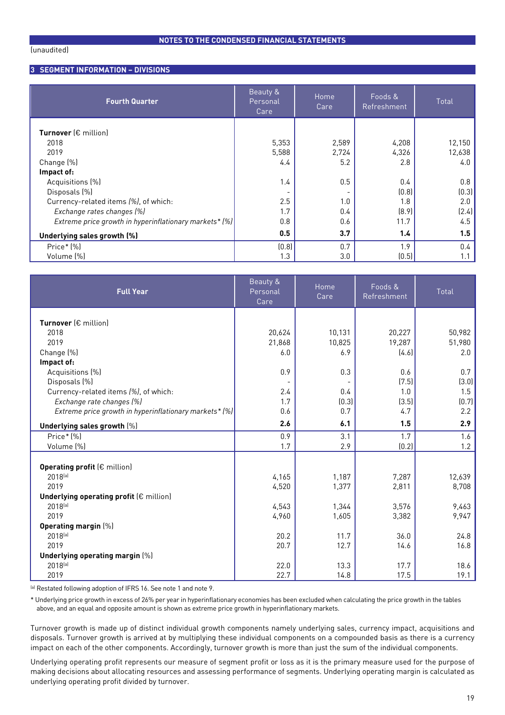## **3 SEGMENT INFORMATION – DIVISIONS**

| <b>Fourth Quarter</b>                                  | Beauty &<br>Personal<br>Care | Home<br>Care | Foods &<br>Refreshment | Total   |
|--------------------------------------------------------|------------------------------|--------------|------------------------|---------|
| Turnover $(\epsilon$ million)                          |                              |              |                        |         |
| 2018                                                   | 5,353                        | 2,589        | 4,208                  | 12,150  |
| 2019                                                   | 5,588                        | 2,724        | 4,326                  | 12,638  |
| Change (%)                                             | 4.4                          | 5.2          | 2.8                    | 4.0     |
| Impact of:                                             |                              |              |                        |         |
| Acquisitions (%)                                       | 1.4                          | 0.5          | 0.4                    | 0.8     |
| Disposals (%)                                          |                              |              | (0.8)                  | (0.3)   |
| Currency-related items (%), of which:                  | 2.5                          | 1.0          | 1.8                    | 2.0     |
| Exchange rates changes (%)                             | 1.7                          | 0.4          | (8.9)                  | (2.4)   |
| Extreme price growth in hyperinflationary markets* (%) | 0.8                          | 0.6          | 11.7                   | 4.5     |
| Underlying sales growth (%)                            | 0.5                          | 3.7          | 1.4                    | 1.5     |
| $Price*(\%)$                                           | (0.8)                        | 0.7          | 1.9                    | $0.4\,$ |
| Volume (%)                                             | 1.3                          | 3.0          | (0.5)                  | 1.1     |

| <b>Full Year</b>                                       | Beauty &<br>Personal<br>Care | <b>Home</b><br>Care | Foods &<br>Refreshment | Total        |
|--------------------------------------------------------|------------------------------|---------------------|------------------------|--------------|
|                                                        |                              |                     |                        |              |
| Turnover (€ million)                                   |                              |                     |                        |              |
| 2018                                                   | 20,624                       | 10,131              | 20,227                 | 50,982       |
| 2019                                                   | 21,868                       | 10,825              | 19,287                 | 51,980       |
| Change (%)                                             | 6.0                          | 6.9                 | (4.6)                  | 2.0          |
| Impact of:                                             | 0.9                          |                     |                        |              |
| Acquisitions (%)<br>Disposals (%)                      |                              | 0.3                 | 0.6<br>(7.5)           | 0.7<br>(3.0) |
| Currency-related items (%), of which:                  | 2.4                          | 0.4                 | 1.0                    | 1.5          |
| Exchange rate changes (%)                              | 1.7                          | (0.3)               | (3.5)                  | (0.7)        |
| Extreme price growth in hyperinflationary markets* (%) | 0.6                          | 0.7                 | 4.7                    | 2.2          |
|                                                        |                              |                     |                        |              |
| Underlying sales growth [%]                            | 2.6                          | 6.1                 | 1.5                    | 2.9          |
| Price* [%]                                             | 0.9                          | 3.1                 | 1.7                    | 1.6          |
| Volume (%)                                             | 1.7                          | 2.9                 | (0.2)                  | 1.2          |
|                                                        |                              |                     |                        |              |
| <b>Operating profit (€ million)</b>                    |                              |                     |                        |              |
| $2018^{[a]}$                                           | 4,165                        | 1,187               | 7,287                  | 12,639       |
| 2019                                                   | 4,520                        | 1,377               | 2,811                  | 8,708        |
| Underlying operating profit $(\epsilon$ million)       |                              |                     |                        |              |
| 2018(a)                                                | 4,543                        | 1,344               | 3,576                  | 9,463        |
| 2019                                                   | 4,960                        | 1,605               | 3,382                  | 9,947        |
| <b>Operating margin (%)</b>                            |                              |                     |                        |              |
| 2018(a)                                                | 20.2                         | 11.7                | 36.0                   | 24.8         |
| 2019                                                   | 20.7                         | 12.7                | 14.6                   | 16.8         |
| Underlying operating margin [%]                        |                              |                     |                        |              |
| 2018(a)                                                | 22.0                         | 13.3                | 17.7                   | 18.6         |
| 2019                                                   | 22.7                         | 14.8                | 17.5                   | 19.1         |

(a) Restated following adoption of IFRS 16. See note 1 and note 9.

\* Underlying price growth in excess of 26% per year in hyperinflationary economies has been excluded when calculating the price growth in the tables above, and an equal and opposite amount is shown as extreme price growth in hyperinflationary markets.

Turnover growth is made up of distinct individual growth components namely underlying sales, currency impact, acquisitions and disposals. Turnover growth is arrived at by multiplying these individual components on a compounded basis as there is a currency impact on each of the other components. Accordingly, turnover growth is more than just the sum of the individual components.

Underlying operating profit represents our measure of segment profit or loss as it is the primary measure used for the purpose of making decisions about allocating resources and assessing performance of segments. Underlying operating margin is calculated as underlying operating profit divided by turnover.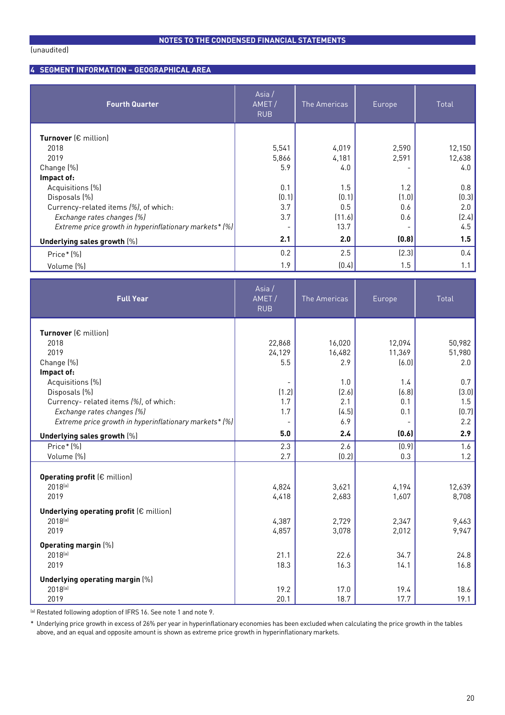## **4 SEGMENT INFORMATION – GEOGRAPHICAL AREA**

| <b>Fourth Quarter</b>                                  | Asia/<br>AMET/<br><b>RUB</b> | The Americas | Europe | Total  |
|--------------------------------------------------------|------------------------------|--------------|--------|--------|
| <b>Turnover</b> $f \in$ million]                       |                              |              |        |        |
| 2018                                                   | 5,541                        | 4,019        | 2,590  | 12,150 |
| 2019                                                   | 5,866                        | 4,181        | 2,591  | 12,638 |
| Change (%)                                             | 5.9                          | 4.0          |        | 4.0    |
| Impact of:                                             |                              |              |        |        |
| Acquisitions (%)                                       | 0.1                          | 1.5          | 1.2    | 0.8    |
| Disposals (%)                                          | (0.1)                        | (0.1)        | (1.0)  | (0.3)  |
| Currency-related items (%), of which:                  | 3.7                          | 0.5          | 0.6    | 2.0    |
| Exchange rates changes (%)                             | 3.7                          | (11.6)       | 0.6    | (2.4)  |
| Extreme price growth in hyperinflationary markets* (%) |                              | 13.7         |        | 4.5    |
| Underlying sales growth [%]                            | 2.1                          | 2.0          | (0.8)  | 1.5    |
| $Price*(\%)$                                           | 0.2                          | 2.5          | (2.3)  | 0.4    |
| Volume (%)                                             | 1.9                          | (0.4)        | 1.5    | 1.1    |

| <b>Full Year</b>                                       | Asia/<br>AMET/<br><b>RUB</b> | The Americas   | Europe         | Total           |
|--------------------------------------------------------|------------------------------|----------------|----------------|-----------------|
| Turnover $(\epsilon$ million)                          |                              |                |                |                 |
| 2018                                                   | 22,868                       | 16,020         | 12,094         | 50,982          |
| 2019                                                   | 24,129                       | 16,482         | 11,369         | 51,980          |
| Change (%)                                             | 5.5                          | 2.9            | (6.0)          | 2.0             |
| Impact of:                                             |                              |                |                |                 |
| Acquisitions (%)                                       |                              | 1.0            | 1.4            | 0.7             |
| Disposals (%)                                          | (1.2)                        | (2.6)          | (6.8)          | (3.0)           |
| Currency- related items (%), of which:                 | 1.7                          | 2.1            | 0.1            | 1.5             |
| Exchange rates changes (%)                             | 1.7                          | (4.5)          | 0.1            | (0.7)           |
| Extreme price growth in hyperinflationary markets* (%) |                              | 6.9            |                | 2.2             |
| Underlying sales growth [%]                            | 5.0                          | 2.4            | (0.6)          | 2.9             |
| Price* (%)                                             | 2.3                          | 2.6            | (0.9)          | 1.6             |
| Volume (%)                                             | 2.7                          | (0.2)          | 0.3            | 1.2             |
|                                                        |                              |                |                |                 |
| <b>Operating profit (€ million)</b>                    |                              |                |                |                 |
| 2018(a)<br>2019                                        | 4,824<br>4,418               | 3,621<br>2,683 | 4,194<br>1,607 | 12,639<br>8,708 |
|                                                        |                              |                |                |                 |
| Underlying operating profit $(\epsilon$ million)       |                              |                |                |                 |
| 2018(a)                                                | 4,387                        | 2,729          | 2,347          | 9,463           |
| 2019                                                   | 4,857                        | 3,078          | 2,012          | 9,947           |
| <b>Operating margin [%]</b>                            |                              |                |                |                 |
| 2018(a)                                                | 21.1                         | 22.6           | 34.7           | 24.8            |
| 2019                                                   | 18.3                         | 16.3           | 14.1           | 16.8            |
| Underlying operating margin [%]                        |                              |                |                |                 |
| 2018(a)                                                | 19.2                         | 17.0           | 19.4           | 18.6            |
| 2019                                                   | 20.1                         | 18.7           | 17.7           | 19.1            |

(a) Restated following adoption of IFRS 16. See note 1 and note 9.

\* Underlying price growth in excess of 26% per year in hyperinflationary economies has been excluded when calculating the price growth in the tables above, and an equal and opposite amount is shown as extreme price growth in hyperinflationary markets.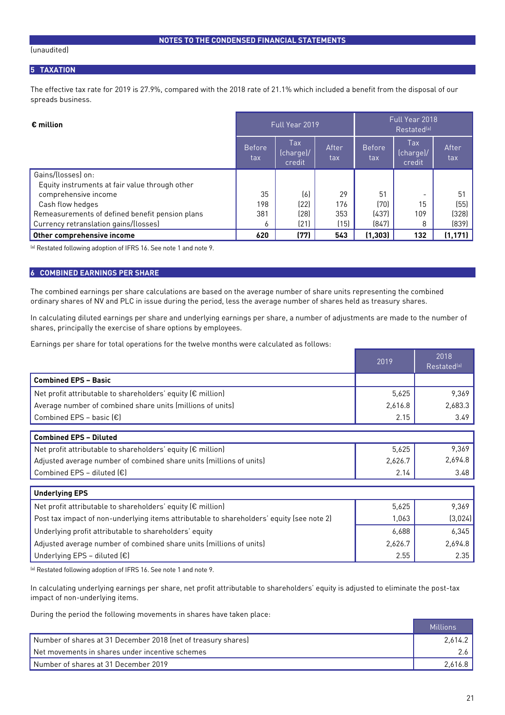#### (unaudited)

## **5 TAXATION**

The effective tax rate for 2019 is 27.9%, compared with the 2018 rate of 21.1% which included a benefit from the disposal of our spreads business.

| $\epsilon$ million                              |                      | Full Year 2019                    |              | Full Year 2018<br>Restated <sup>[a]</sup> |                                   |              |  |
|-------------------------------------------------|----------------------|-----------------------------------|--------------|-------------------------------------------|-----------------------------------|--------------|--|
|                                                 | <b>Before</b><br>tax | <b>Tax</b><br>(charge)/<br>credit | After<br>tax | <b>Before</b><br>tax                      | <b>Tax</b><br>(charge)/<br>credit | After<br>tax |  |
| Gains/(losses) on:                              |                      |                                   |              |                                           |                                   |              |  |
| Equity instruments at fair value through other  |                      |                                   |              |                                           |                                   |              |  |
| comprehensive income                            | 35                   | (6)                               | 29           | 51                                        |                                   | 51           |  |
| Cash flow hedges                                | 198                  | (22)                              | 176          | (70)                                      | 15                                | (55)         |  |
| Remeasurements of defined benefit pension plans | 381                  | (28)                              | 353          | (437)                                     | 109                               | (328)        |  |
| Currency retranslation gains/(losses)           | 6                    | (21)                              | (15)         | (847)                                     | 8                                 | (839)        |  |
| Other comprehensive income                      | 620                  | (77)                              | 543          | (1, 303)                                  | 132                               | (1, 171)     |  |

(a) Restated following adoption of IFRS 16. See note 1 and note 9.

#### **6 COMBINED EARNINGS PER SHARE**

The combined earnings per share calculations are based on the average number of share units representing the combined ordinary shares of NV and PLC in issue during the period, less the average number of shares held as treasury shares.

In calculating diluted earnings per share and underlying earnings per share, a number of adjustments are made to the number of shares, principally the exercise of share options by employees.

Earnings per share for total operations for the twelve months were calculated as follows:

|                                                                                           | 2019    | 2018<br>Restated <sup>(a)</sup> |
|-------------------------------------------------------------------------------------------|---------|---------------------------------|
| <b>Combined EPS - Basic</b>                                                               |         |                                 |
| Net profit attributable to shareholders' equity (€ million)                               | 5,625   | 9,369                           |
| Average number of combined share units (millions of units)                                | 2,616.8 | 2,683.3                         |
| Combined EPS - basic $\left[\epsilon\right]$                                              | 2.15    | 3.49                            |
| <b>Combined EPS - Diluted</b>                                                             |         |                                 |
|                                                                                           |         |                                 |
| Net profit attributable to shareholders' equity (€ million)                               | 5,625   | 9,369                           |
| Adjusted average number of combined share units (millions of units)                       | 2,626.7 | 2,694.8                         |
| Combined EPS - diluted $(\epsilon)$                                                       | 2.14    | 3.48                            |
| <b>Underlying EPS</b>                                                                     |         |                                 |
| Net profit attributable to shareholders' equity (€ million)                               | 5,625   | 9,369                           |
| Post tax impact of non-underlying items attributable to shareholders' equity (see note 2) | 1,063   | (3,024)                         |
| Underlying profit attributable to shareholders' equity                                    | 6,688   | 6,345                           |
| Adjusted average number of combined share units (millions of units)                       | 2,626.7 | 2,694.8                         |
| Underlying EPS - diluted $(E)$                                                            | 2.55    | 2.35                            |

(a) Restated following adoption of IFRS 16. See note 1 and note 9.

In calculating underlying earnings per share, net profit attributable to shareholders' equity is adjusted to eliminate the post-tax impact of non-underlying items.

During the period the following movements in shares have taken place:

|                                                               | Millions |
|---------------------------------------------------------------|----------|
| Number of shares at 31 December 2018 (net of treasury shares) | 2.614.2  |
| Net movements in shares under incentive schemes               |          |
| Number of shares at 31 December 2019                          | 2.616.8  |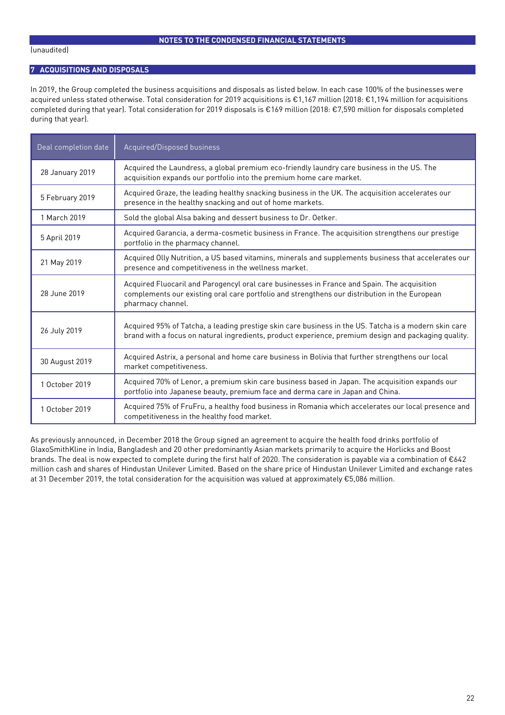## **7 ACQUISITIONS AND DISPOSALS**

In 2019, the Group completed the business acquisitions and disposals as listed below. In each case 100% of the businesses were acquired unless stated otherwise. Total consideration for 2019 acquisitions is €1,167 million (2018: €1,194 million for acquisitions completed during that year). Total consideration for 2019 disposals is €169 million (2018: €7,590 million for disposals completed during that year).

| Deal completion date | Acquired/Disposed business                                                                                                                                                                                        |
|----------------------|-------------------------------------------------------------------------------------------------------------------------------------------------------------------------------------------------------------------|
| 28 January 2019      | Acquired the Laundress, a global premium eco-friendly laundry care business in the US. The<br>acquisition expands our portfolio into the premium home care market.                                                |
| 5 February 2019      | Acquired Graze, the leading healthy snacking business in the UK. The acquisition accelerates our<br>presence in the healthy snacking and out of home markets.                                                     |
| 1 March 2019         | Sold the global Alsa baking and dessert business to Dr. Oetker.                                                                                                                                                   |
| 5 April 2019         | Acquired Garancia, a derma-cosmetic business in France. The acquisition strengthens our prestige<br>portfolio in the pharmacy channel.                                                                            |
| 21 May 2019          | Acquired Olly Nutrition, a US based vitamins, minerals and supplements business that accelerates our<br>presence and competitiveness in the wellness market.                                                      |
| 28 June 2019         | Acquired Fluocaril and Parogencyl oral care businesses in France and Spain. The acquisition<br>complements our existing oral care portfolio and strengthens our distribution in the European<br>pharmacy channel. |
| 26 July 2019         | Acquired 95% of Tatcha, a leading prestige skin care business in the US. Tatcha is a modern skin care<br>brand with a focus on natural ingredients, product experience, premium design and packaging quality.     |
| 30 August 2019       | Acquired Astrix, a personal and home care business in Bolivia that further strengthens our local<br>market competitiveness.                                                                                       |
| 1 October 2019       | Acquired 70% of Lenor, a premium skin care business based in Japan. The acquisition expands our<br>portfolio into Japanese beauty, premium face and derma care in Japan and China.                                |
| 1 October 2019       | Acquired 75% of FruFru, a healthy food business in Romania which accelerates our local presence and<br>competitiveness in the healthy food market.                                                                |

As previously announced, in December 2018 the Group signed an agreement to acquire the health food drinks portfolio of GlaxoSmithKline in India, Bangladesh and 20 other predominantly Asian markets primarily to acquire the Horlicks and Boost brands. The deal is now expected to complete during the first half of 2020. The consideration is payable via a combination of €642 million cash and shares of Hindustan Unilever Limited. Based on the share price of Hindustan Unilever Limited and exchange rates at 31 December 2019, the total consideration for the acquisition was valued at approximately €5,086 million.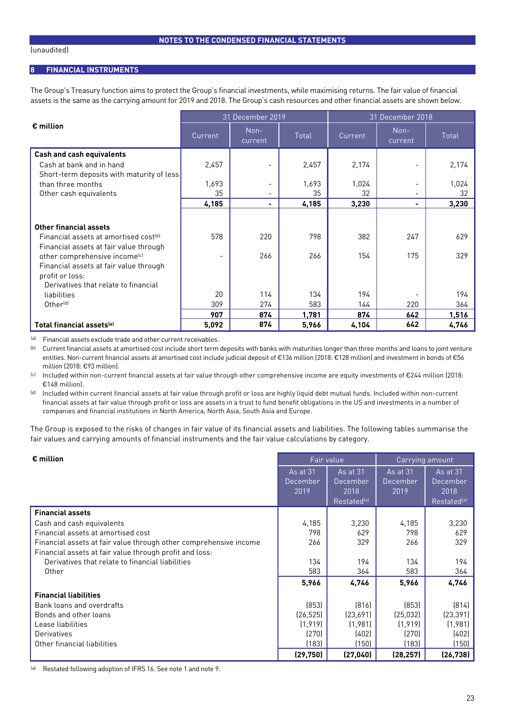## **8 FINANCIAL INSTRUMENTS**

The Group's Treasury function aims to protect the Group's financial investments, while maximising returns. The fair value of financial assets is the same as the carrying amount for 2019 and 2018. The Group's cash resources and other financial assets are shown below.

|                                                   |                          | 31 December 2019         |       |         | 31 December 2018 |       |  |  |
|---------------------------------------------------|--------------------------|--------------------------|-------|---------|------------------|-------|--|--|
| $\epsilon$ million                                | Current                  | Non-<br>current          | Total | Current | Non-<br>current  | Total |  |  |
| <b>Cash and cash equivalents</b>                  |                          |                          |       |         |                  |       |  |  |
| Cash at bank and in hand                          | 2,457                    | -                        | 2,457 | 2,174   |                  | 2,174 |  |  |
| Short-term deposits with maturity of less         |                          |                          |       |         |                  |       |  |  |
| than three months                                 | 1,693                    | $\overline{\phantom{0}}$ | 1,693 | 1,024   |                  | 1,024 |  |  |
| Other cash equivalents                            | 35                       | $\overline{\phantom{a}}$ | 35    | 32      | -                | 32    |  |  |
|                                                   | 4,185                    | -                        | 4,185 | 3,230   | -                | 3,230 |  |  |
|                                                   |                          |                          |       |         |                  |       |  |  |
| Other financial assets                            |                          |                          |       |         |                  |       |  |  |
| Financial assets at amortised cost <sup>(b)</sup> | 578                      | 220                      | 798   | 382     | 247              | 629   |  |  |
| Financial assets at fair value through            |                          |                          |       |         |                  |       |  |  |
| other comprehensive income <sup>(c)</sup>         | $\overline{\phantom{0}}$ | 266                      | 266   | 154     | 175              | 329   |  |  |
| Financial assets at fair value through            |                          |                          |       |         |                  |       |  |  |
| profit or loss:                                   |                          |                          |       |         |                  |       |  |  |
| Derivatives that relate to financial              |                          |                          |       |         |                  |       |  |  |
| liabilities                                       | 20                       | 114                      | 134   | 194     |                  | 194   |  |  |
| Other <sup>[d]</sup>                              | 309                      | 274                      | 583   | 144     | 220              | 364   |  |  |
|                                                   | 907                      | 874                      | 1,781 | 874     | 642              | 1,516 |  |  |
| Total financial assets <sup>(a)</sup>             | 5,092                    | 874                      | 5,966 | 4,104   | 642              | 4,746 |  |  |

(a) Financial assets exclude trade and other current receivables.

(b) Current financial assets at amortised cost include short term deposits with banks with maturities longer than three months and loans to joint venture entities. Non-current financial assets at amortised cost include judicial deposit of €136 million (2018: €128 million) and investment in bonds of €56 million (2018: €93 million).

(c) Included within non-current financial assets at fair value through other comprehensive income are equity investments of €244 million (2018: €148 million).

(d) Included within current financial assets at fair value through profit or loss are highly liquid debt mutual funds. Included within non-current financial assets at fair value through profit or loss are assets in a trust to fund benefit obligations in the US and investments in a number of companies and financial institutions in North America, North Asia, South Asia and Europe.

The Group is exposed to the risks of changes in fair value of its financial assets and liabilities. The following tables summarise the fair values and carrying amounts of financial instruments and the fair value calculations by category.

| $\epsilon$ million                                                | Fair value      |                         | Carrying amount |                         |  |
|-------------------------------------------------------------------|-----------------|-------------------------|-----------------|-------------------------|--|
|                                                                   | <b>As at 31</b> | <b>As at 31</b>         | As at 31        | As at 31                |  |
|                                                                   | December        | December                | December        | December                |  |
|                                                                   | 2019            | 2018                    | 2019            | 2018                    |  |
|                                                                   |                 | Restated <sup>(a)</sup> |                 | Restated <sup>(a)</sup> |  |
| <b>Financial assets</b>                                           |                 |                         |                 |                         |  |
| Cash and cash equivalents                                         | 4,185           | 3,230                   | 4,185           | 3,230                   |  |
| Financial assets at amortised cost                                | 798             | 629                     | 798             | 629                     |  |
| Financial assets at fair value through other comprehensive income | 266             | 329                     | 266             | 329                     |  |
| Financial assets at fair value through profit and loss:           |                 |                         |                 |                         |  |
| Derivatives that relate to financial liabilities                  | 134             | 194                     | 134             | 194                     |  |
| Other                                                             | 583             | 364                     | 583             | 364                     |  |
|                                                                   | 5,966           | 4,746                   | 5,966           | 4,746                   |  |
| <b>Financial liabilities</b>                                      |                 |                         |                 |                         |  |
| Bank loans and overdrafts                                         | (853)           | [816]                   | [853]           | (814)                   |  |
| Bonds and other loans                                             | (26, 525)       | (23,691)                | (25, 032)       | (23, 391)               |  |
| Lease liabilities                                                 | (1, 919)        | (1,981)                 | (1, 919)        | (1,981)                 |  |
| Derivatives                                                       | (270)           | (402)                   | (270)           | (402)                   |  |
| Other financial liabilities                                       | (183)           | (150)                   | (183)           | (150)                   |  |
|                                                                   | (29, 750)       | (27, 040)               | (28, 257)       | (26, 738)               |  |

(a) Restated following adoption of IFRS 16. See note 1 and note 9.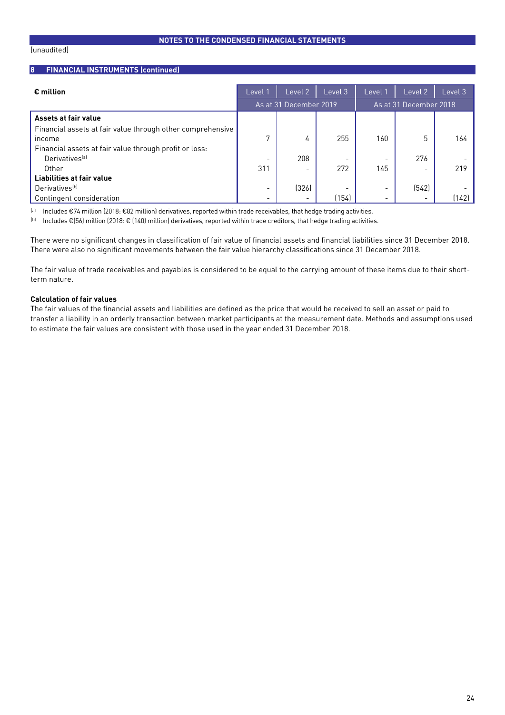## **8 FINANCIAL INSTRUMENTS (continued)**

| $\epsilon$ million                                         | Level                    | Level 2                  | Level 3 | Level 1                  | Level 2                | Level 3 |
|------------------------------------------------------------|--------------------------|--------------------------|---------|--------------------------|------------------------|---------|
|                                                            |                          | As at 31 December 2019   |         |                          | As at 31 December 2018 |         |
| Assets at fair value                                       |                          |                          |         |                          |                        |         |
| Financial assets at fair value through other comprehensive |                          |                          |         |                          |                        |         |
| income                                                     | 7                        | 4                        | 255     | 160                      | 5                      | 164     |
| Financial assets at fair value through profit or loss:     |                          |                          |         |                          |                        |         |
| Derivatives <sup>[a]</sup>                                 |                          | 208                      |         |                          | 276                    |         |
| Other                                                      | 311                      |                          | 272     | 145                      |                        | 219     |
| Liabilities at fair value                                  |                          |                          |         |                          |                        |         |
| Derivatives <sup>[b]</sup>                                 | $\overline{\phantom{a}}$ | (326)                    |         | $\overline{\phantom{a}}$ | (542)                  |         |
| Contingent consideration                                   | $\overline{\phantom{a}}$ | $\overline{\phantom{a}}$ | (154)   | $\overline{\phantom{a}}$ |                        | (142)   |

(a) Includes €74 million (2018: €82 million) derivatives, reported within trade receivables, that hedge trading activities.

(b) Includes €(56) million (2018: € (140) million) derivatives, reported within trade creditors, that hedge trading activities.

There were no significant changes in classification of fair value of financial assets and financial liabilities since 31 December 2018. There were also no significant movements between the fair value hierarchy classifications since 31 December 2018.

The fair value of trade receivables and payables is considered to be equal to the carrying amount of these items due to their shortterm nature.

# **Calculation of fair values**

The fair values of the financial assets and liabilities are defined as the price that would be received to sell an asset or paid to transfer a liability in an orderly transaction between market participants at the measurement date. Methods and assumptions used to estimate the fair values are consistent with those used in the year ended 31 December 2018.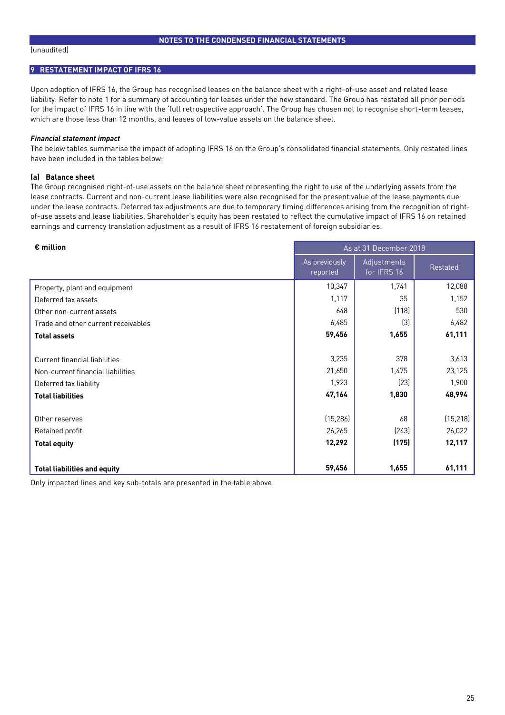# **9 RESTATEMENT IMPACT OF IFRS 16**

Upon adoption of IFRS 16, the Group has recognised leases on the balance sheet with a right-of-use asset and related lease liability. Refer to note 1 for a summary of accounting for leases under the new standard. The Group has restated all prior periods for the impact of IFRS 16 in line with the 'full retrospective approach'. The Group has chosen not to recognise short-term leases, which are those less than 12 months, and leases of low-value assets on the balance sheet.

## *Financial statement impact*

The below tables summarise the impact of adopting IFRS 16 on the Group's consolidated financial statements. Only restated lines have been included in the tables below:

## **(a) Balance sheet**

The Group recognised right-of-use assets on the balance sheet representing the right to use of the underlying assets from the lease contracts. Current and non-current lease liabilities were also recognised for the present value of the lease payments due under the lease contracts. Deferred tax adjustments are due to temporary timing differences arising from the recognition of rightof-use assets and lease liabilities. Shareholder's equity has been restated to reflect the cumulative impact of IFRS 16 on retained earnings and currency translation adjustment as a result of IFRS 16 restatement of foreign subsidiaries.

| $\epsilon$ million                  | As at 31 December 2018    |                            |           |  |
|-------------------------------------|---------------------------|----------------------------|-----------|--|
|                                     | As previously<br>reported | Adjustments<br>for IFRS 16 | Restated  |  |
| Property, plant and equipment       | 10,347                    | 1,741                      | 12,088    |  |
| Deferred tax assets                 | 1,117                     | 35                         | 1,152     |  |
| Other non-current assets            | 648                       | (118)                      | 530       |  |
| Trade and other current receivables | 6,485                     | $[3]$                      | 6,482     |  |
| <b>Total assets</b>                 | 59,456                    | 1,655                      | 61,111    |  |
|                                     |                           |                            |           |  |
| Current financial liabilities       | 3,235                     | 378                        | 3,613     |  |
| Non-current financial liabilities   | 21,650                    | 1,475                      | 23,125    |  |
| Deferred tax liability              | 1,923                     | (23)                       | 1,900     |  |
| <b>Total liabilities</b>            | 47,164                    | 1,830                      | 48,994    |  |
|                                     |                           |                            |           |  |
| Other reserves                      | (15, 286)                 | 68                         | (15, 218) |  |
| Retained profit                     | 26,265                    | (243)                      | 26,022    |  |
| <b>Total equity</b>                 | 12,292                    | (175)                      | 12,117    |  |
|                                     |                           |                            |           |  |
| <b>Total liabilities and equity</b> | 59,456                    | 1,655                      | 61,111    |  |

Only impacted lines and key sub-totals are presented in the table above.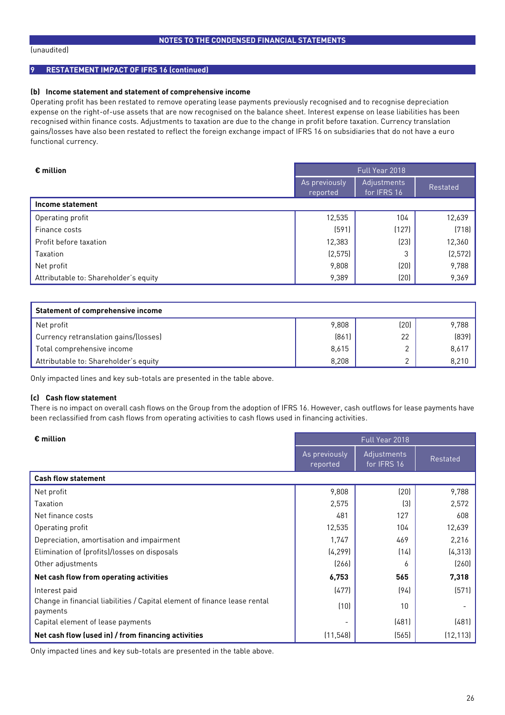#### (unaudited)

# **9 RESTATEMENT IMPACT OF IFRS 16 (continued)**

#### **(b) Income statement and statement of comprehensive income**

Operating profit has been restated to remove operating lease payments previously recognised and to recognise depreciation expense on the right-of-use assets that are now recognised on the balance sheet. Interest expense on lease liabilities has been recognised within finance costs. Adjustments to taxation are due to the change in profit before taxation. Currency translation gains/losses have also been restated to reflect the foreign exchange impact of IFRS 16 on subsidiaries that do not have a euro functional currency.

| $\epsilon$ million                    | Full Year 2018            |                            |          |  |
|---------------------------------------|---------------------------|----------------------------|----------|--|
|                                       | As previously<br>reported | Adjustments<br>for IFRS 16 | Restated |  |
| Income statement                      |                           |                            |          |  |
| Operating profit                      | 12,535                    | 104                        | 12,639   |  |
| Finance costs                         | (591)                     | (127)                      | (718)    |  |
| Profit before taxation                | 12,383                    | (23)                       | 12,360   |  |
| Taxation                              | (2, 575)                  | 3                          | (2, 572) |  |
| Net profit                            | 9,808                     | (20)                       | 9,788    |  |
| Attributable to: Shareholder's equity | 9,389                     | (20)                       | 9,369    |  |

| <b>Statement of comprehensive income</b> |       |      |       |  |  |  |  |
|------------------------------------------|-------|------|-------|--|--|--|--|
| Net profit                               | 9,808 | (20) | 9.788 |  |  |  |  |
| Currency retranslation gains/(losses)    | (861) | 22   | (839) |  |  |  |  |
| Total comprehensive income               | 8,615 |      | 8.617 |  |  |  |  |
| Attributable to: Shareholder's equity    | 8,208 | ⌒    | 8,210 |  |  |  |  |

Only impacted lines and key sub-totals are presented in the table above.

#### **(c) Cash flow statement**

There is no impact on overall cash flows on the Group from the adoption of IFRS 16. However, cash outflows for lease payments have been reclassified from cash flows from operating activities to cash flows used in financing activities.

| $\epsilon$ million                                                                    | Full Year 2018            |                            |           |  |
|---------------------------------------------------------------------------------------|---------------------------|----------------------------|-----------|--|
|                                                                                       | As previously<br>reported | Adjustments<br>for IFRS 16 | Restated  |  |
| <b>Cash flow statement</b>                                                            |                           |                            |           |  |
| Net profit                                                                            | 9,808                     | (20)                       | 9,788     |  |
| Taxation                                                                              | 2,575                     | $\left[3\right]$           | 2,572     |  |
| Net finance costs                                                                     | 481                       | 127                        | 608       |  |
| Operating profit                                                                      | 12,535                    | 104                        | 12,639    |  |
| Depreciation, amortisation and impairment                                             | 1,747                     | 469                        | 2,216     |  |
| Elimination of (profits)/losses on disposals                                          | (4, 299)                  | (14)                       | (4, 313)  |  |
| Other adjustments                                                                     | (266)                     | 6                          | (260)     |  |
| Net cash flow from operating activities                                               | 6,753                     | 565                        | 7,318     |  |
| Interest paid                                                                         | (477)                     | (94)                       | (571)     |  |
| Change in financial liabilities / Capital element of finance lease rental<br>payments | (10)                      | 10                         |           |  |
| Capital element of lease payments                                                     |                           | (481)                      | (481)     |  |
| Net cash flow (used in) / from financing activities                                   | (11, 548)                 | (565)                      | (12, 113) |  |

Only impacted lines and key sub-totals are presented in the table above.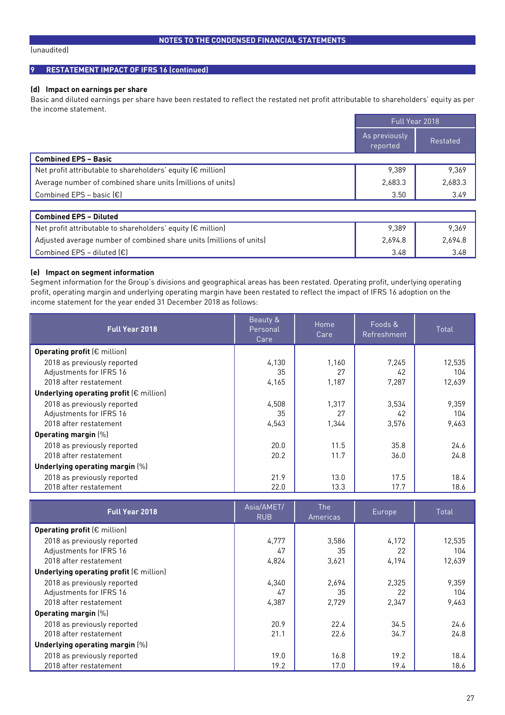#### (unaudited)

## **9 RESTATEMENT IMPACT OF IFRS 16 (continued)**

## **(d) Impact on earnings per share**

Basic and diluted earnings per share have been restated to reflect the restated net profit attributable to shareholders' equity as per the income statement.

|                                                             | Full Year 2018            |          |
|-------------------------------------------------------------|---------------------------|----------|
|                                                             | As previously<br>reported | Restated |
| <b>Combined EPS - Basic</b>                                 |                           |          |
| Net profit attributable to shareholders' equity (€ million) | 9,389                     | 9,369    |
| Average number of combined share units (millions of units)  | 2,683.3                   | 2,683.3  |
| Combined EPS - basic $(\epsilon)$                           | 3.50                      | 3.49     |
|                                                             |                           |          |
| <b>Combined EPS - Diluted</b>                               |                           |          |
| Net profit attributable to shareholders' equity (€ million) | 9,389                     | 9.369    |

Combined EPS – diluted (€)  $\overline{3.48}$  3.48 3.48

## **(e) Impact on segment information**

Segment information for the Group's divisions and geographical areas has been restated. Operating profit, underlying operating profit, operating margin and underlying operating margin have been restated to reflect the impact of IFRS 16 adoption on the income statement for the year ended 31 December 2018 as follows:

Adjusted average number of combined share units (millions of units) 2,694.8 2,694.8 2,694.8

| <b>Full Year 2018</b>                            | Beauty &<br>Personal<br>Care | Home<br>Care | Foods &<br>Refreshment | Total  |
|--------------------------------------------------|------------------------------|--------------|------------------------|--------|
| Operating profit $(\epsilon$ million)            |                              |              |                        |        |
| 2018 as previously reported                      | 4,130                        | 1.160        | 7.245                  | 12,535 |
| Adjustments for IFRS 16                          | 35                           | 27           | 42                     | 104    |
| 2018 after restatement                           | 4,165                        | 1,187        | 7,287                  | 12,639 |
| Underlying operating profit $(\epsilon$ million) |                              |              |                        |        |
| 2018 as previously reported                      | 4.508                        | 1.317        | 3,534                  | 9,359  |
| Adjustments for IFRS 16                          | 35                           | 27           | 42                     | 104    |
| 2018 after restatement                           | 4,543                        | 1,344        | 3,576                  | 9,463  |
| <b>Operating margin (%)</b>                      |                              |              |                        |        |
| 2018 as previously reported                      | 20.0                         | 11.5         | 35.8                   | 24.6   |
| 2018 after restatement                           | 20.2                         | 11.7         | 36.0                   | 24.8   |
| Underlying operating margin [%]                  |                              |              |                        |        |
| 2018 as previously reported                      | 21.9                         | 13.0         | 17.5                   | 18.4   |
| 2018 after restatement                           | 22.0                         | 13.3         | 17.7                   | 18.6   |

| <b>Full Year 2018</b>                            | Asia/AMET/<br><b>RUB</b> | <b>The</b><br><b>Americas</b> | Europe, | Total  |  |
|--------------------------------------------------|--------------------------|-------------------------------|---------|--------|--|
| Operating profit $(\epsilon$ million)            |                          |                               |         |        |  |
| 2018 as previously reported                      | 4.777                    | 3.586                         | 4.172   | 12,535 |  |
| Adjustments for IFRS 16                          | 47                       | 35                            | 22      | 104    |  |
| 2018 after restatement                           | 4.824                    | 3.621                         | 4.194   | 12.639 |  |
| Underlying operating profit $(\epsilon$ million) |                          |                               |         |        |  |
| 2018 as previously reported                      | 4.340                    | 2,694                         | 2.325   | 9,359  |  |
| Adjustments for IFRS 16                          | 47                       | 35                            | 22      | 104    |  |
| 2018 after restatement                           | 4.387                    | 2.729                         | 2.347   | 9,463  |  |
| <b>Operating margin (%)</b>                      |                          |                               |         |        |  |
| 2018 as previously reported                      | 20.9                     | 22.4                          | 34.5    | 24.6   |  |
| 2018 after restatement                           | 21.1                     | 22.6                          | 34.7    | 24.8   |  |
| Underlying operating margin [%]                  |                          |                               |         |        |  |
| 2018 as previously reported                      | 19.0                     | 16.8                          | 19.2    | 18.4   |  |
| 2018 after restatement                           | 19.2                     | 17.0                          | 19.4    | 18.6   |  |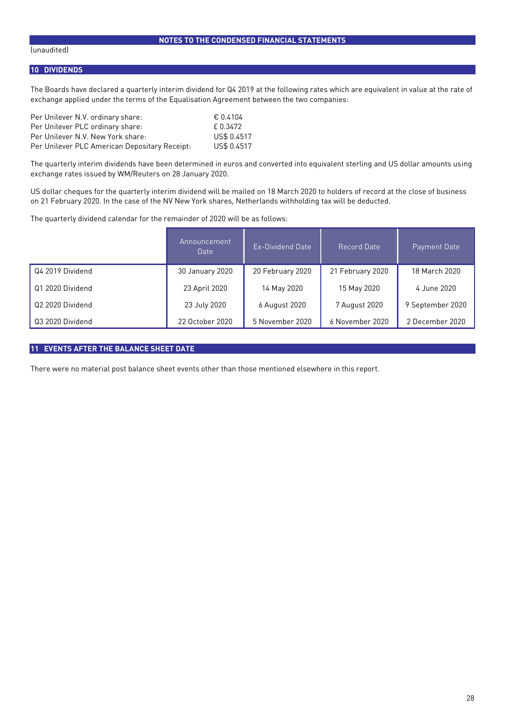#### (unaudited)

## **10 DIVIDENDS**

The Boards have declared a quarterly interim dividend for Q4 2019 at the following rates which are equivalent in value at the rate of exchange applied under the terms of the Equalisation Agreement between the two companies:

| Per Unilever N.V. ordinary share:             | € 0.4104    |
|-----------------------------------------------|-------------|
| Per Unilever PLC ordinary share:              | f 0.3472    |
| Per Unilever N.V. New York share:             | US\$ 0.4517 |
| Per Unilever PLC American Depositary Receipt: | US\$ 0.4517 |

The quarterly interim dividends have been determined in euros and converted into equivalent sterling and US dollar amounts using exchange rates issued by WM/Reuters on 28 January 2020.

US dollar cheques for the quarterly interim dividend will be mailed on 18 March 2020 to holders of record at the close of business on 21 February 2020. In the case of the NV New York shares, Netherlands withholding tax will be deducted.

The quarterly dividend calendar for the remainder of 2020 will be as follows:

|                  | Announcement<br>Date | Ex-Dividend Date | Record Date      | Payment Date     |
|------------------|----------------------|------------------|------------------|------------------|
| Q4 2019 Dividend | 30 January 2020      | 20 February 2020 | 21 February 2020 | 18 March 2020    |
| Q1 2020 Dividend | 23 April 2020        | 14 May 2020      | 15 May 2020      | 4 June 2020      |
| Q2 2020 Dividend | 23 July 2020         | 6 August 2020    | 7 August 2020    | 9 September 2020 |
| Q3 2020 Dividend | 22 October 2020      | 5 November 2020  | 6 November 2020  | 2 December 2020  |

# **11 EVENTS AFTER THE BALANCE SHEET DATE**

There were no material post balance sheet events other than those mentioned elsewhere in this report.